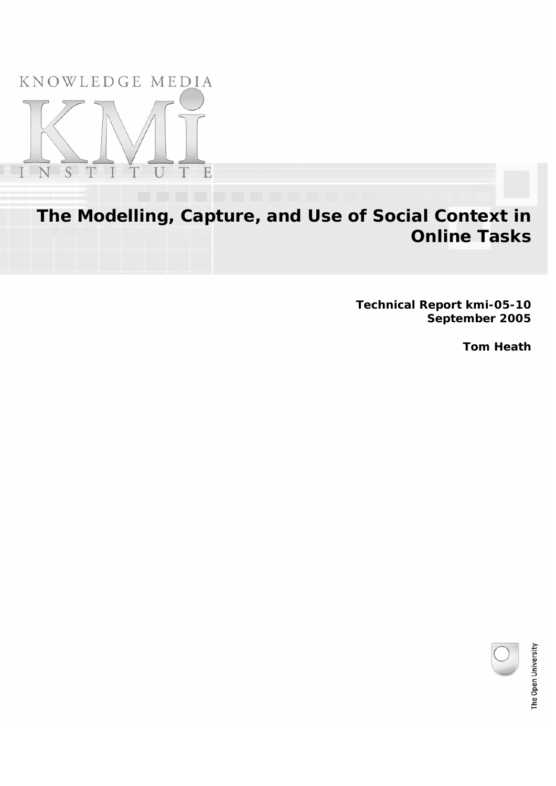KNOWLEDGE MEDIA



**The Modelling, Capture, and Use of Social Context in Online Tasks**

> **Technical Report kmi-05-10 September 2005**

> > **Tom Heath**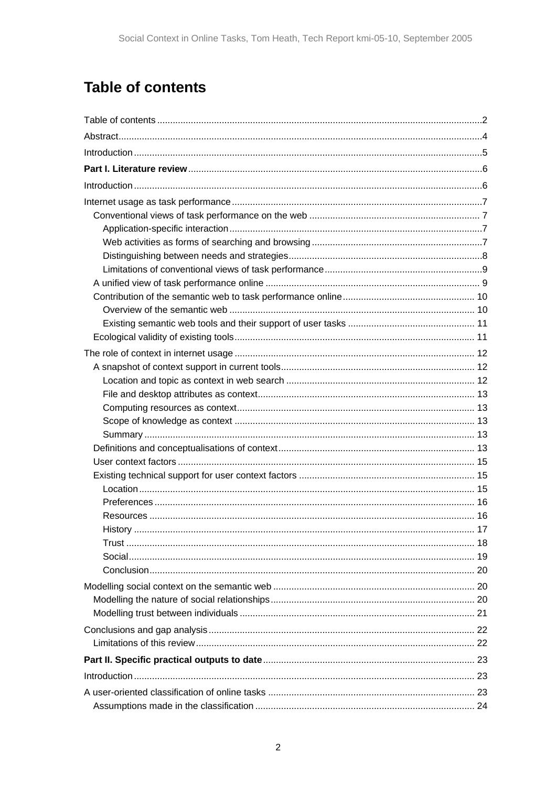# <span id="page-1-0"></span>**Table of contents**

| History<br>. 17 |  |
|-----------------|--|
|                 |  |
|                 |  |
|                 |  |
|                 |  |
|                 |  |
|                 |  |
|                 |  |
|                 |  |
|                 |  |
|                 |  |
|                 |  |
|                 |  |
|                 |  |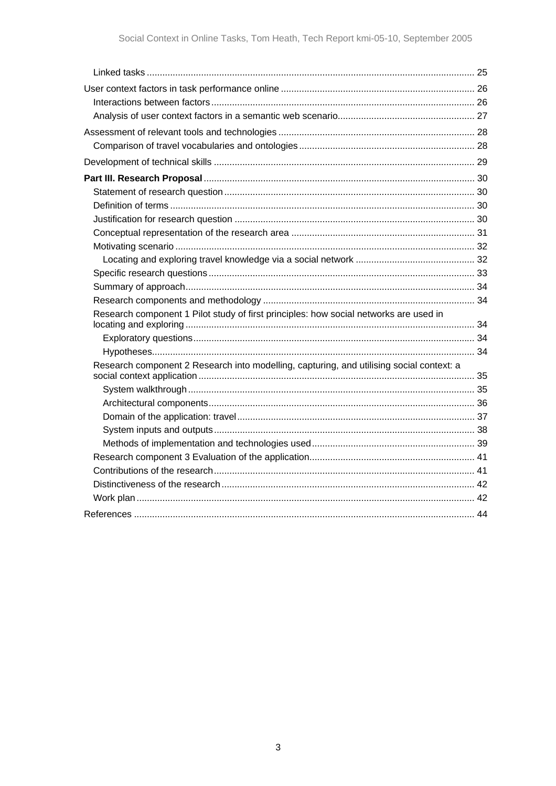| Research component 1 Pilot study of first principles: how social networks are used in    |  |
|------------------------------------------------------------------------------------------|--|
|                                                                                          |  |
|                                                                                          |  |
| Research component 2 Research into modelling, capturing, and utilising social context: a |  |
|                                                                                          |  |
|                                                                                          |  |
|                                                                                          |  |
|                                                                                          |  |
|                                                                                          |  |
|                                                                                          |  |
|                                                                                          |  |
|                                                                                          |  |
|                                                                                          |  |
|                                                                                          |  |
|                                                                                          |  |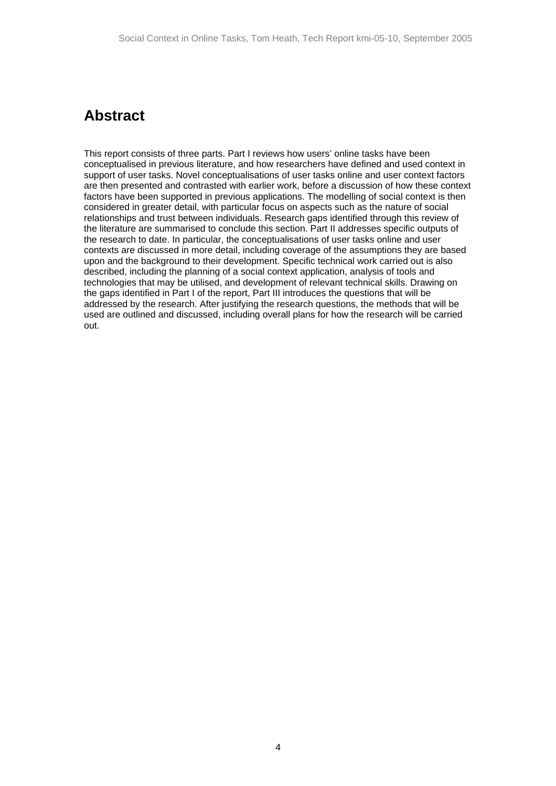## <span id="page-3-0"></span>**Abstract**

This report consists of three parts. Part I reviews how users' online tasks have been conceptualised in previous literature, and how researchers have defined and used context in support of user tasks. Novel conceptualisations of user tasks online and user context factors are then presented and contrasted with earlier work, before a discussion of how these context factors have been supported in previous applications. The modelling of social context is then considered in greater detail, with particular focus on aspects such as the nature of social relationships and trust between individuals. Research gaps identified through this review of the literature are summarised to conclude this section. Part II addresses specific outputs of the research to date. In particular, the conceptualisations of user tasks online and user contexts are discussed in more detail, including coverage of the assumptions they are based upon and the background to their development. Specific technical work carried out is also described, including the planning of a social context application, analysis of tools and technologies that may be utilised, and development of relevant technical skills. Drawing on the gaps identified in Part I of the report, Part III introduces the questions that will be addressed by the research. After justifying the research questions, the methods that will be used are outlined and discussed, including overall plans for how the research will be carried out.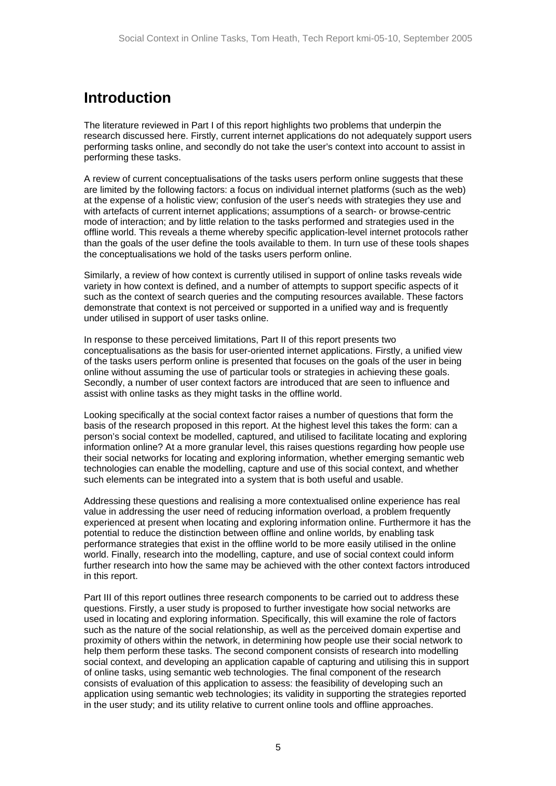# <span id="page-4-0"></span>**Introduction**

The literature reviewed in Part I of this report highlights two problems that underpin the research discussed here. Firstly, current internet applications do not adequately support users performing tasks online, and secondly do not take the user's context into account to assist in performing these tasks.

A review of current conceptualisations of the tasks users perform online suggests that these are limited by the following factors: a focus on individual internet platforms (such as the web) at the expense of a holistic view; confusion of the user's needs with strategies they use and with artefacts of current internet applications; assumptions of a search- or browse-centric mode of interaction; and by little relation to the tasks performed and strategies used in the offline world. This reveals a theme whereby specific application-level internet protocols rather than the goals of the user define the tools available to them. In turn use of these tools shapes the conceptualisations we hold of the tasks users perform online.

Similarly, a review of how context is currently utilised in support of online tasks reveals wide variety in how context is defined, and a number of attempts to support specific aspects of it such as the context of search queries and the computing resources available. These factors demonstrate that context is not perceived or supported in a unified way and is frequently under utilised in support of user tasks online.

In response to these perceived limitations, Part II of this report presents two conceptualisations as the basis for user-oriented internet applications. Firstly, a unified view of the tasks users perform online is presented that focuses on the goals of the user in being online without assuming the use of particular tools or strategies in achieving these goals. Secondly, a number of user context factors are introduced that are seen to influence and assist with online tasks as they might tasks in the offline world.

Looking specifically at the social context factor raises a number of questions that form the basis of the research proposed in this report. At the highest level this takes the form: can a person's social context be modelled, captured, and utilised to facilitate locating and exploring information online? At a more granular level, this raises questions regarding how people use their social networks for locating and exploring information, whether emerging semantic web technologies can enable the modelling, capture and use of this social context, and whether such elements can be integrated into a system that is both useful and usable.

Addressing these questions and realising a more contextualised online experience has real value in addressing the user need of reducing information overload, a problem frequently experienced at present when locating and exploring information online. Furthermore it has the potential to reduce the distinction between offline and online worlds, by enabling task performance strategies that exist in the offline world to be more easily utilised in the online world. Finally, research into the modelling, capture, and use of social context could inform further research into how the same may be achieved with the other context factors introduced in this report.

Part III of this report outlines three research components to be carried out to address these questions. Firstly, a user study is proposed to further investigate how social networks are used in locating and exploring information. Specifically, this will examine the role of factors such as the nature of the social relationship, as well as the perceived domain expertise and proximity of others within the network, in determining how people use their social network to help them perform these tasks. The second component consists of research into modelling social context, and developing an application capable of capturing and utilising this in support of online tasks, using semantic web technologies. The final component of the research consists of evaluation of this application to assess: the feasibility of developing such an application using semantic web technologies; its validity in supporting the strategies reported in the user study; and its utility relative to current online tools and offline approaches.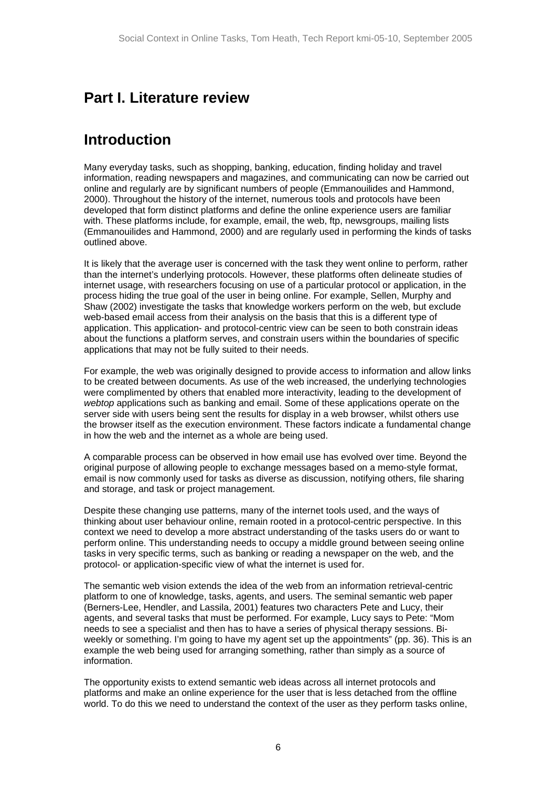# <span id="page-5-0"></span>**Part I. Literature review**

# **Introduction**

Many everyday tasks, such as shopping, banking, education, finding holiday and travel information, reading newspapers and magazines, and communicating can now be carried out online and regularly are by significant numbers of people (Emmanouilides and Hammond, 2000). Throughout the history of the internet, numerous tools and protocols have been developed that form distinct platforms and define the online experience users are familiar with. These platforms include, for example, email, the web, ftp, newsgroups, mailing lists (Emmanouilides and Hammond, 2000) and are regularly used in performing the kinds of tasks outlined above.

It is likely that the average user is concerned with the task they went online to perform, rather than the internet's underlying protocols. However, these platforms often delineate studies of internet usage, with researchers focusing on use of a particular protocol or application, in the process hiding the true goal of the user in being online. For example, Sellen, Murphy and Shaw (2002) investigate the tasks that knowledge workers perform on the web, but exclude web-based email access from their analysis on the basis that this is a different type of application. This application- and protocol-centric view can be seen to both constrain ideas about the functions a platform serves, and constrain users within the boundaries of specific applications that may not be fully suited to their needs.

For example, the web was originally designed to provide access to information and allow links to be created between documents. As use of the web increased, the underlying technologies were complimented by others that enabled more interactivity, leading to the development of *webtop* applications such as banking and email. Some of these applications operate on the server side with users being sent the results for display in a web browser, whilst others use the browser itself as the execution environment. These factors indicate a fundamental change in how the web and the internet as a whole are being used.

A comparable process can be observed in how email use has evolved over time. Beyond the original purpose of allowing people to exchange messages based on a memo-style format, email is now commonly used for tasks as diverse as discussion, notifying others, file sharing and storage, and task or project management.

Despite these changing use patterns, many of the internet tools used, and the ways of thinking about user behaviour online, remain rooted in a protocol-centric perspective. In this context we need to develop a more abstract understanding of the tasks users do or want to perform online. This understanding needs to occupy a middle ground between seeing online tasks in very specific terms, such as banking or reading a newspaper on the web, and the protocol- or application-specific view of what the internet is used for.

The semantic web vision extends the idea of the web from an information retrieval-centric platform to one of knowledge, tasks, agents, and users. The seminal semantic web paper (Berners-Lee, Hendler, and Lassila, 2001) features two characters Pete and Lucy, their agents, and several tasks that must be performed. For example, Lucy says to Pete: "Mom needs to see a specialist and then has to have a series of physical therapy sessions. Biweekly or something. I'm going to have my agent set up the appointments" (pp. 36). This is an example the web being used for arranging something, rather than simply as a source of information.

The opportunity exists to extend semantic web ideas across all internet protocols and platforms and make an online experience for the user that is less detached from the offline world. To do this we need to understand the context of the user as they perform tasks online,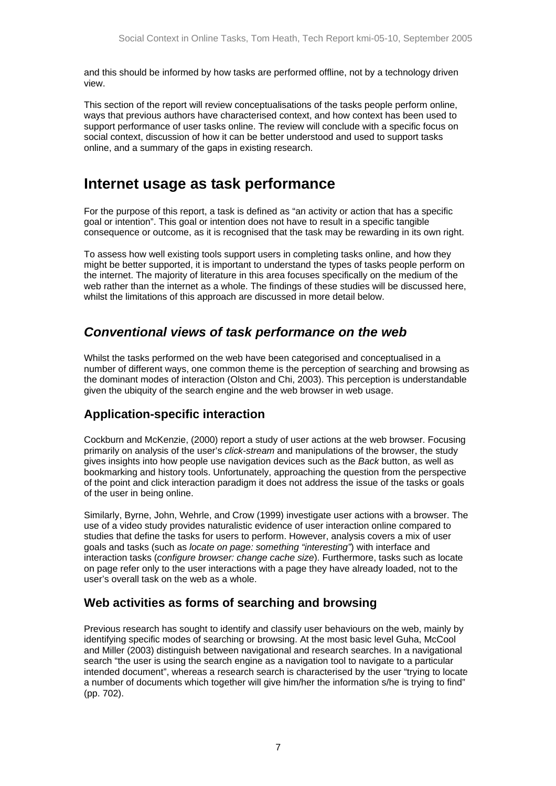<span id="page-6-0"></span>and this should be informed by how tasks are performed offline, not by a technology driven view.

This section of the report will review conceptualisations of the tasks people perform online, ways that previous authors have characterised context, and how context has been used to support performance of user tasks online. The review will conclude with a specific focus on social context, discussion of how it can be better understood and used to support tasks online, and a summary of the gaps in existing research.

# **Internet usage as task performance**

For the purpose of this report, a task is defined as "an activity or action that has a specific goal or intention". This goal or intention does not have to result in a specific tangible consequence or outcome, as it is recognised that the task may be rewarding in its own right.

To assess how well existing tools support users in completing tasks online, and how they might be better supported, it is important to understand the types of tasks people perform on the internet. The majority of literature in this area focuses specifically on the medium of the web rather than the internet as a whole. The findings of these studies will be discussed here, whilst the limitations of this approach are discussed in more detail below.

## *Conventional views of task performance on the web*

Whilst the tasks performed on the web have been categorised and conceptualised in a number of different ways, one common theme is the perception of searching and browsing as the dominant modes of interaction (Olston and Chi, 2003). This perception is understandable given the ubiquity of the search engine and the web browser in web usage.

### **Application-specific interaction**

Cockburn and McKenzie, (2000) report a study of user actions at the web browser. Focusing primarily on analysis of the user's *click-stream* and manipulations of the browser, the study gives insights into how people use navigation devices such as the *Back* button, as well as bookmarking and history tools. Unfortunately, approaching the question from the perspective of the point and click interaction paradigm it does not address the issue of the tasks or goals of the user in being online.

Similarly, Byrne, John, Wehrle, and Crow (1999) investigate user actions with a browser. The use of a video study provides naturalistic evidence of user interaction online compared to studies that define the tasks for users to perform. However, analysis covers a mix of user goals and tasks (such as *locate on page: something "interesting"*) with interface and interaction tasks (*configure browser: change cache size*). Furthermore, tasks such as locate on page refer only to the user interactions with a page they have already loaded, not to the user's overall task on the web as a whole.

## **Web activities as forms of searching and browsing**

Previous research has sought to identify and classify user behaviours on the web, mainly by identifying specific modes of searching or browsing. At the most basic level Guha, McCool and Miller (2003) distinguish between navigational and research searches. In a navigational search "the user is using the search engine as a navigation tool to navigate to a particular intended document", whereas a research search is characterised by the user "trying to locate a number of documents which together will give him/her the information s/he is trying to find" (pp. 702).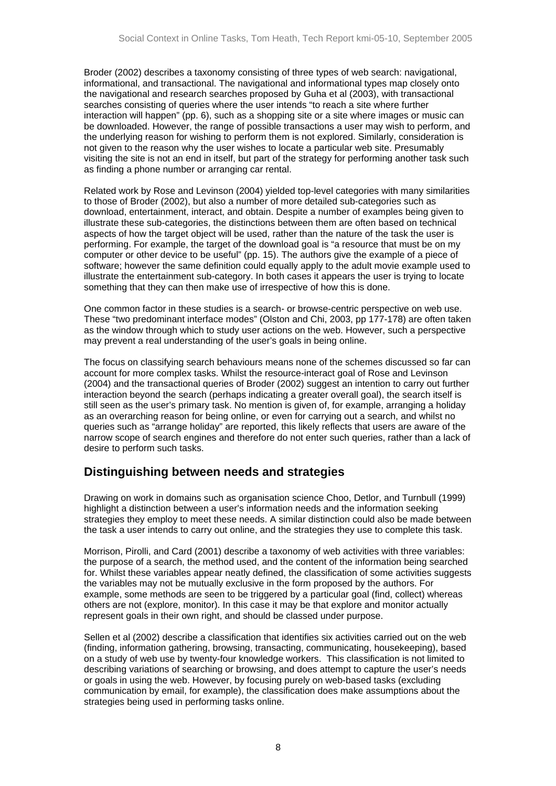<span id="page-7-0"></span>Broder (2002) describes a taxonomy consisting of three types of web search: navigational, informational, and transactional. The navigational and informational types map closely onto the navigational and research searches proposed by Guha et al (2003), with transactional searches consisting of queries where the user intends "to reach a site where further interaction will happen" (pp. 6), such as a shopping site or a site where images or music can be downloaded. However, the range of possible transactions a user may wish to perform, and the underlying reason for wishing to perform them is not explored. Similarly, consideration is not given to the reason why the user wishes to locate a particular web site. Presumably visiting the site is not an end in itself, but part of the strategy for performing another task such as finding a phone number or arranging car rental.

Related work by Rose and Levinson (2004) yielded top-level categories with many similarities to those of Broder (2002), but also a number of more detailed sub-categories such as download, entertainment, interact, and obtain. Despite a number of examples being given to illustrate these sub-categories, the distinctions between them are often based on technical aspects of how the target object will be used, rather than the nature of the task the user is performing. For example, the target of the download goal is "a resource that must be on my computer or other device to be useful" (pp. 15). The authors give the example of a piece of software; however the same definition could equally apply to the adult movie example used to illustrate the entertainment sub-category. In both cases it appears the user is trying to locate something that they can then make use of irrespective of how this is done.

One common factor in these studies is a search- or browse-centric perspective on web use. These "two predominant interface modes" (Olston and Chi, 2003, pp 177-178) are often taken as the window through which to study user actions on the web. However, such a perspective may prevent a real understanding of the user's goals in being online.

The focus on classifying search behaviours means none of the schemes discussed so far can account for more complex tasks. Whilst the resource-interact goal of Rose and Levinson (2004) and the transactional queries of Broder (2002) suggest an intention to carry out further interaction beyond the search (perhaps indicating a greater overall goal), the search itself is still seen as the user's primary task. No mention is given of, for example, arranging a holiday as an overarching reason for being online, or even for carrying out a search, and whilst no queries such as "arrange holiday" are reported, this likely reflects that users are aware of the narrow scope of search engines and therefore do not enter such queries, rather than a lack of desire to perform such tasks.

### **Distinguishing between needs and strategies**

Drawing on work in domains such as organisation science Choo, Detlor, and Turnbull (1999) highlight a distinction between a user's information needs and the information seeking strategies they employ to meet these needs. A similar distinction could also be made between the task a user intends to carry out online, and the strategies they use to complete this task.

Morrison, Pirolli, and Card (2001) describe a taxonomy of web activities with three variables: the purpose of a search, the method used, and the content of the information being searched for. Whilst these variables appear neatly defined, the classification of some activities suggests the variables may not be mutually exclusive in the form proposed by the authors. For example, some methods are seen to be triggered by a particular goal (find, collect) whereas others are not (explore, monitor). In this case it may be that explore and monitor actually represent goals in their own right, and should be classed under purpose.

Sellen et al (2002) describe a classification that identifies six activities carried out on the web (finding, information gathering, browsing, transacting, communicating, housekeeping), based on a study of web use by twenty-four knowledge workers. This classification is not limited to describing variations of searching or browsing, and does attempt to capture the user's needs or goals in using the web. However, by focusing purely on web-based tasks (excluding communication by email, for example), the classification does make assumptions about the strategies being used in performing tasks online.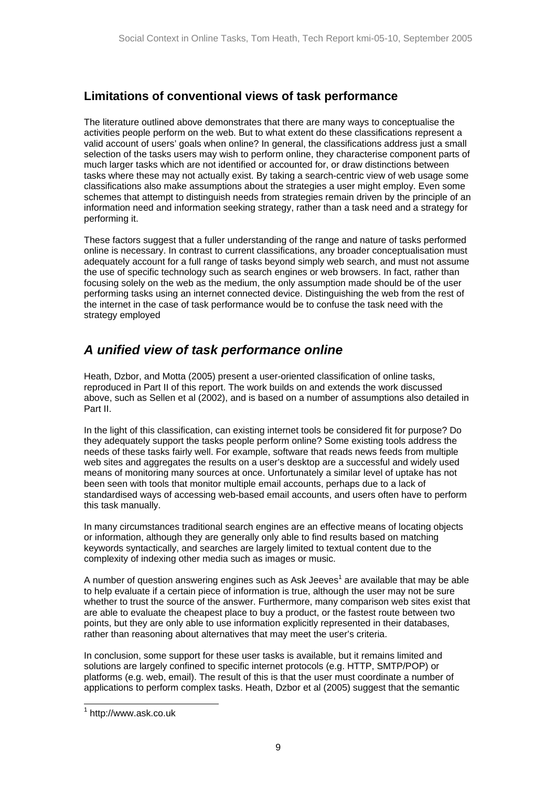### <span id="page-8-0"></span>**Limitations of conventional views of task performance**

The literature outlined above demonstrates that there are many ways to conceptualise the activities people perform on the web. But to what extent do these classifications represent a valid account of users' goals when online? In general, the classifications address just a small selection of the tasks users may wish to perform online, they characterise component parts of much larger tasks which are not identified or accounted for, or draw distinctions between tasks where these may not actually exist. By taking a search-centric view of web usage some classifications also make assumptions about the strategies a user might employ. Even some schemes that attempt to distinguish needs from strategies remain driven by the principle of an information need and information seeking strategy, rather than a task need and a strategy for performing it.

These factors suggest that a fuller understanding of the range and nature of tasks performed online is necessary. In contrast to current classifications, any broader conceptualisation must adequately account for a full range of tasks beyond simply web search, and must not assume the use of specific technology such as search engines or web browsers. In fact, rather than focusing solely on the web as the medium, the only assumption made should be of the user performing tasks using an internet connected device. Distinguishing the web from the rest of the internet in the case of task performance would be to confuse the task need with the strategy employed

## *A unified view of task performance online*

Heath, Dzbor, and Motta (2005) present a user-oriented classification of online tasks, reproduced in Part II of this report. The work builds on and extends the work discussed above, such as Sellen et al (2002), and is based on a number of assumptions also detailed in Part II.

In the light of this classification, can existing internet tools be considered fit for purpose? Do they adequately support the tasks people perform online? Some existing tools address the needs of these tasks fairly well. For example, software that reads news feeds from multiple web sites and aggregates the results on a user's desktop are a successful and widely used means of monitoring many sources at once. Unfortunately a similar level of uptake has not been seen with tools that monitor multiple email accounts, perhaps due to a lack of standardised ways of accessing web-based email accounts, and users often have to perform this task manually.

In many circumstances traditional search engines are an effective means of locating objects or information, although they are generally only able to find results based on matching keywords syntactically, and searches are largely limited to textual content due to the complexity of indexing other media such as images or music.

A number of question answering engines such as Ask Jeeves<sup>[1](#page-8-1)</sup> are available that may be able to help evaluate if a certain piece of information is true, although the user may not be sure whether to trust the source of the answer. Furthermore, many comparison web sites exist that are able to evaluate the cheapest place to buy a product, or the fastest route between two points, but they are only able to use information explicitly represented in their databases, rather than reasoning about alternatives that may meet the user's criteria.

In conclusion, some support for these user tasks is available, but it remains limited and solutions are largely confined to specific internet protocols (e.g. HTTP, SMTP/POP) or platforms (e.g. web, email). The result of this is that the user must coordinate a number of applications to perform complex tasks. Heath, Dzbor et al (2005) suggest that the semantic

<span id="page-8-1"></span> <sup>1</sup> http://www.ask.co.uk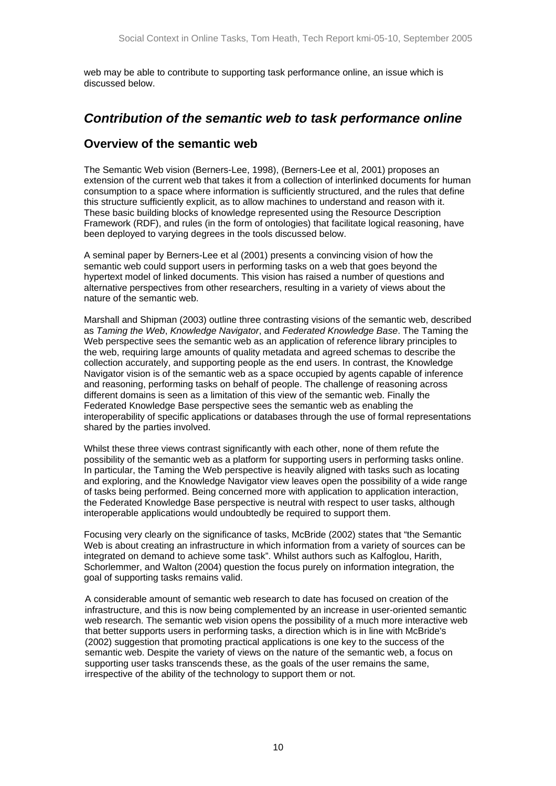<span id="page-9-0"></span>web may be able to contribute to supporting task performance online, an issue which is discussed below.

## *Contribution of the semantic web to task performance online*

### **Overview of the semantic web**

The Semantic Web vision (Berners-Lee, 1998), (Berners-Lee et al, 2001) proposes an extension of the current web that takes it from a collection of interlinked documents for human consumption to a space where information is sufficiently structured, and the rules that define this structure sufficiently explicit, as to allow machines to understand and reason with it. These basic building blocks of knowledge represented using the Resource Description Framework (RDF), and rules (in the form of ontologies) that facilitate logical reasoning, have been deployed to varying degrees in the tools discussed below.

A seminal paper by Berners-Lee et al (2001) presents a convincing vision of how the semantic web could support users in performing tasks on a web that goes beyond the hypertext model of linked documents. This vision has raised a number of questions and alternative perspectives from other researchers, resulting in a variety of views about the nature of the semantic web.

Marshall and Shipman (2003) outline three contrasting visions of the semantic web, described as *Taming the Web*, *Knowledge Navigator*, and *Federated Knowledge Base*. The Taming the Web perspective sees the semantic web as an application of reference library principles to the web, requiring large amounts of quality metadata and agreed schemas to describe the collection accurately, and supporting people as the end users. In contrast, the Knowledge Navigator vision is of the semantic web as a space occupied by agents capable of inference and reasoning, performing tasks on behalf of people. The challenge of reasoning across different domains is seen as a limitation of this view of the semantic web. Finally the Federated Knowledge Base perspective sees the semantic web as enabling the interoperability of specific applications or databases through the use of formal representations shared by the parties involved.

Whilst these three views contrast significantly with each other, none of them refute the possibility of the semantic web as a platform for supporting users in performing tasks online. In particular, the Taming the Web perspective is heavily aligned with tasks such as locating and exploring, and the Knowledge Navigator view leaves open the possibility of a wide range of tasks being performed. Being concerned more with application to application interaction, the Federated Knowledge Base perspective is neutral with respect to user tasks, although interoperable applications would undoubtedly be required to support them.

Focusing very clearly on the significance of tasks, McBride (2002) states that "the Semantic Web is about creating an infrastructure in which information from a variety of sources can be integrated on demand to achieve some task". Whilst authors such as Kalfoglou, Harith, Schorlemmer, and Walton (2004) question the focus purely on information integration, the goal of supporting tasks remains valid.

A considerable amount of semantic web research to date has focused on creation of the infrastructure, and this is now being complemented by an increase in user-oriented semantic web research. The semantic web vision opens the possibility of a much more interactive web that better supports users in performing tasks, a direction which is in line with McBride's (2002) suggestion that promoting practical applications is one key to the success of the semantic web. Despite the variety of views on the nature of the semantic web, a focus on supporting user tasks transcends these, as the goals of the user remains the same, irrespective of the ability of the technology to support them or not.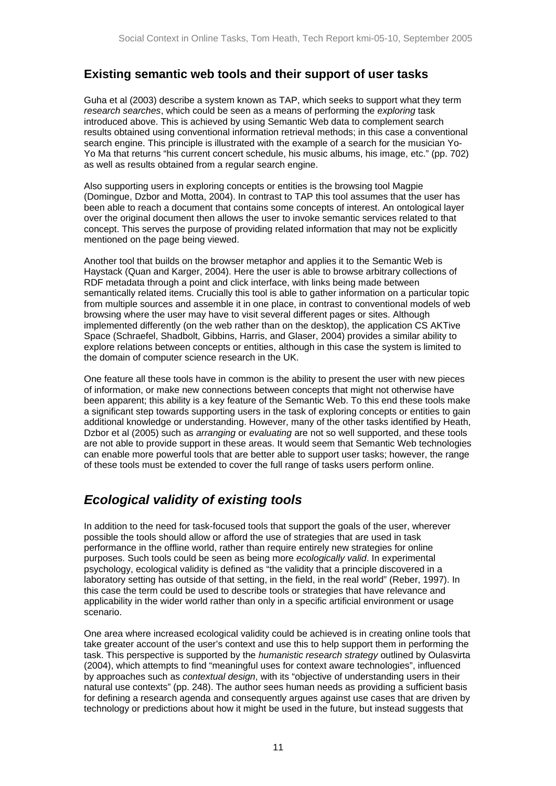### <span id="page-10-0"></span>**Existing semantic web tools and their support of user tasks**

Guha et al (2003) describe a system known as TAP, which seeks to support what they term *research searches*, which could be seen as a means of performing the *exploring* task introduced above. This is achieved by using Semantic Web data to complement search results obtained using conventional information retrieval methods; in this case a conventional search engine. This principle is illustrated with the example of a search for the musician Yo-Yo Ma that returns "his current concert schedule, his music albums, his image, etc." (pp. 702) as well as results obtained from a regular search engine.

Also supporting users in exploring concepts or entities is the browsing tool Magpie (Domingue, Dzbor and Motta, 2004). In contrast to TAP this tool assumes that the user has been able to reach a document that contains some concepts of interest. An ontological layer over the original document then allows the user to invoke semantic services related to that concept. This serves the purpose of providing related information that may not be explicitly mentioned on the page being viewed.

Another tool that builds on the browser metaphor and applies it to the Semantic Web is Haystack (Quan and Karger, 2004). Here the user is able to browse arbitrary collections of RDF metadata through a point and click interface, with links being made between semantically related items. Crucially this tool is able to gather information on a particular topic from multiple sources and assemble it in one place, in contrast to conventional models of web browsing where the user may have to visit several different pages or sites. Although implemented differently (on the web rather than on the desktop), the application CS AKTive Space (Schraefel, Shadbolt, Gibbins, Harris, and Glaser, 2004) provides a similar ability to explore relations between concepts or entities, although in this case the system is limited to the domain of computer science research in the UK.

One feature all these tools have in common is the ability to present the user with new pieces of information, or make new connections between concepts that might not otherwise have been apparent; this ability is a key feature of the Semantic Web. To this end these tools make a significant step towards supporting users in the task of exploring concepts or entities to gain additional knowledge or understanding. However, many of the other tasks identified by Heath, Dzbor et al (2005) such as *arranging* or *evaluating* are not so well supported, and these tools are not able to provide support in these areas. It would seem that Semantic Web technologies can enable more powerful tools that are better able to support user tasks; however, the range of these tools must be extended to cover the full range of tasks users perform online.

## *Ecological validity of existing tools*

In addition to the need for task-focused tools that support the goals of the user, wherever possible the tools should allow or afford the use of strategies that are used in task performance in the offline world, rather than require entirely new strategies for online purposes. Such tools could be seen as being more *ecologically valid*. In experimental psychology, ecological validity is defined as "the validity that a principle discovered in a laboratory setting has outside of that setting, in the field, in the real world" (Reber, 1997). In this case the term could be used to describe tools or strategies that have relevance and applicability in the wider world rather than only in a specific artificial environment or usage scenario.

One area where increased ecological validity could be achieved is in creating online tools that take greater account of the user's context and use this to help support them in performing the task. This perspective is supported by the *humanistic research strategy* outlined by Oulasvirta (2004), which attempts to find "meaningful uses for context aware technologies", influenced by approaches such as *contextual design*, with its "objective of understanding users in their natural use contexts" (pp. 248). The author sees human needs as providing a sufficient basis for defining a research agenda and consequently argues against use cases that are driven by technology or predictions about how it might be used in the future, but instead suggests that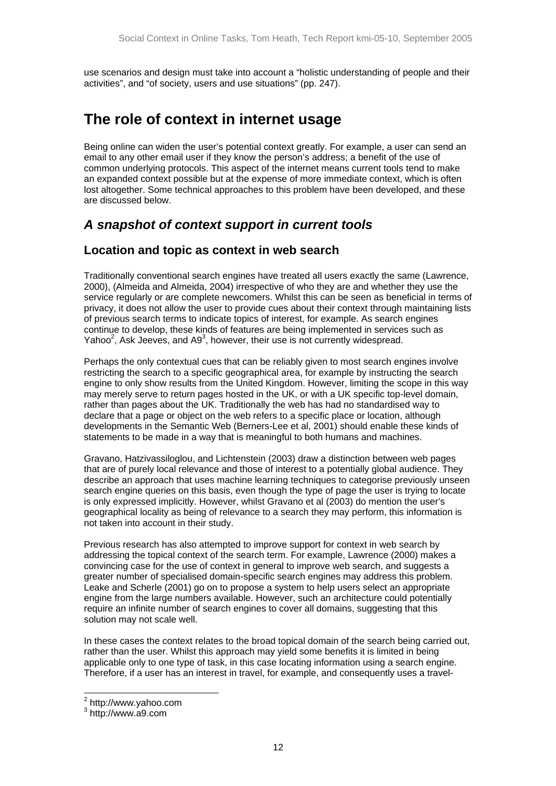<span id="page-11-0"></span>use scenarios and design must take into account a "holistic understanding of people and their activities", and "of society, users and use situations" (pp. 247).

# **The role of context in internet usage**

Being online can widen the user's potential context greatly. For example, a user can send an email to any other email user if they know the person's address; a benefit of the use of common underlying protocols. This aspect of the internet means current tools tend to make an expanded context possible but at the expense of more immediate context, which is often lost altogether. Some technical approaches to this problem have been developed, and these are discussed below.

## *A snapshot of context support in current tools*

### **Location and topic as context in web search**

Traditionally conventional search engines have treated all users exactly the same (Lawrence, 2000), (Almeida and Almeida, 2004) irrespective of who they are and whether they use the service regularly or are complete newcomers. Whilst this can be seen as beneficial in terms of privacy, it does not allow the user to provide cues about their context through maintaining lists of previous search terms to indicate topics of interest, for example. As search engines continue to develop, these kinds of features are being implemented in services such as Yahoo<sup>[2](#page-11-1)</sup>[,](#page-11-2) Ask Jeeves, and A9<sup>3</sup>, however, their use is not currently widespread.

Perhaps the only contextual cues that can be reliably given to most search engines involve restricting the search to a specific geographical area, for example by instructing the search engine to only show results from the United Kingdom. However, limiting the scope in this way may merely serve to return pages hosted in the UK, or with a UK specific top-level domain, rather than pages about the UK. Traditionally the web has had no standardised way to declare that a page or object on the web refers to a specific place or location, although developments in the Semantic Web (Berners-Lee et al, 2001) should enable these kinds of statements to be made in a way that is meaningful to both humans and machines.

Gravano, Hatzivassiloglou, and Lichtenstein (2003) draw a distinction between web pages that are of purely local relevance and those of interest to a potentially global audience. They describe an approach that uses machine learning techniques to categorise previously unseen search engine queries on this basis, even though the type of page the user is trying to locate is only expressed implicitly. However, whilst Gravano et al (2003) do mention the user's geographical locality as being of relevance to a search they may perform, this information is not taken into account in their study.

Previous research has also attempted to improve support for context in web search by addressing the topical context of the search term. For example, Lawrence (2000) makes a convincing case for the use of context in general to improve web search, and suggests a greater number of specialised domain-specific search engines may address this problem. Leake and Scherle (2001) go on to propose a system to help users select an appropriate engine from the large numbers available. However, such an architecture could potentially require an infinite number of search engines to cover all domains, suggesting that this solution may not scale well.

In these cases the context relates to the broad topical domain of the search being carried out, rather than the user. Whilst this approach may yield some benefits it is limited in being applicable only to one type of task, in this case locating information using a search engine. Therefore, if a user has an interest in travel, for example, and consequently uses a travel-

<span id="page-11-1"></span> <sup>2</sup> http://www.yahoo.com

<span id="page-11-2"></span><sup>&</sup>lt;sup>3</sup> http://www.a9.com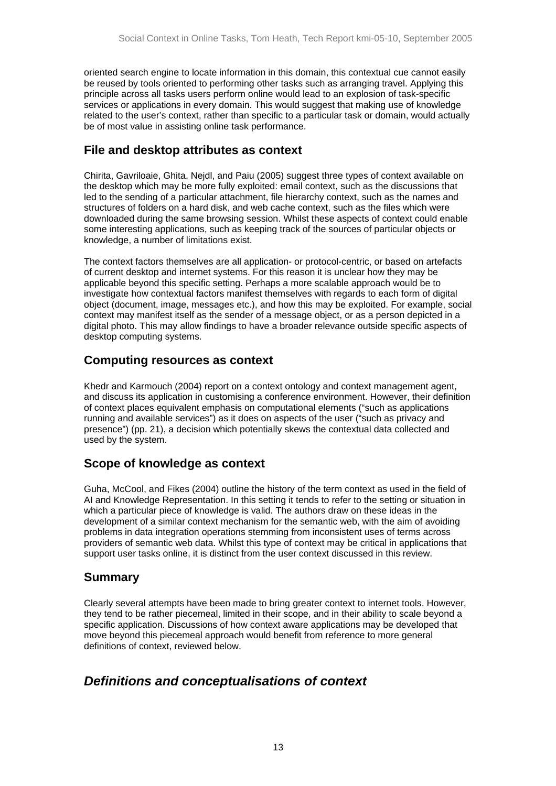<span id="page-12-0"></span>oriented search engine to locate information in this domain, this contextual cue cannot easily be reused by tools oriented to performing other tasks such as arranging travel. Applying this principle across all tasks users perform online would lead to an explosion of task-specific services or applications in every domain. This would suggest that making use of knowledge related to the user's context, rather than specific to a particular task or domain, would actually be of most value in assisting online task performance.

### **File and desktop attributes as context**

Chirita, Gavriloaie, Ghita, Nejdl, and Paiu (2005) suggest three types of context available on the desktop which may be more fully exploited: email context, such as the discussions that led to the sending of a particular attachment, file hierarchy context, such as the names and structures of folders on a hard disk, and web cache context, such as the files which were downloaded during the same browsing session. Whilst these aspects of context could enable some interesting applications, such as keeping track of the sources of particular objects or knowledge, a number of limitations exist.

The context factors themselves are all application- or protocol-centric, or based on artefacts of current desktop and internet systems. For this reason it is unclear how they may be applicable beyond this specific setting. Perhaps a more scalable approach would be to investigate how contextual factors manifest themselves with regards to each form of digital object (document, image, messages etc.), and how this may be exploited. For example, social context may manifest itself as the sender of a message object, or as a person depicted in a digital photo. This may allow findings to have a broader relevance outside specific aspects of desktop computing systems.

### **Computing resources as context**

Khedr and Karmouch (2004) report on a context ontology and context management agent, and discuss its application in customising a conference environment. However, their definition of context places equivalent emphasis on computational elements ("such as applications running and available services") as it does on aspects of the user ("such as privacy and presence") (pp. 21), a decision which potentially skews the contextual data collected and used by the system.

### **Scope of knowledge as context**

Guha, McCool, and Fikes (2004) outline the history of the term context as used in the field of AI and Knowledge Representation. In this setting it tends to refer to the setting or situation in which a particular piece of knowledge is valid. The authors draw on these ideas in the development of a similar context mechanism for the semantic web, with the aim of avoiding problems in data integration operations stemming from inconsistent uses of terms across providers of semantic web data. Whilst this type of context may be critical in applications that support user tasks online, it is distinct from the user context discussed in this review.

### **Summary**

Clearly several attempts have been made to bring greater context to internet tools. However, they tend to be rather piecemeal, limited in their scope, and in their ability to scale beyond a specific application. Discussions of how context aware applications may be developed that move beyond this piecemeal approach would benefit from reference to more general definitions of context, reviewed below.

## *Definitions and conceptualisations of context*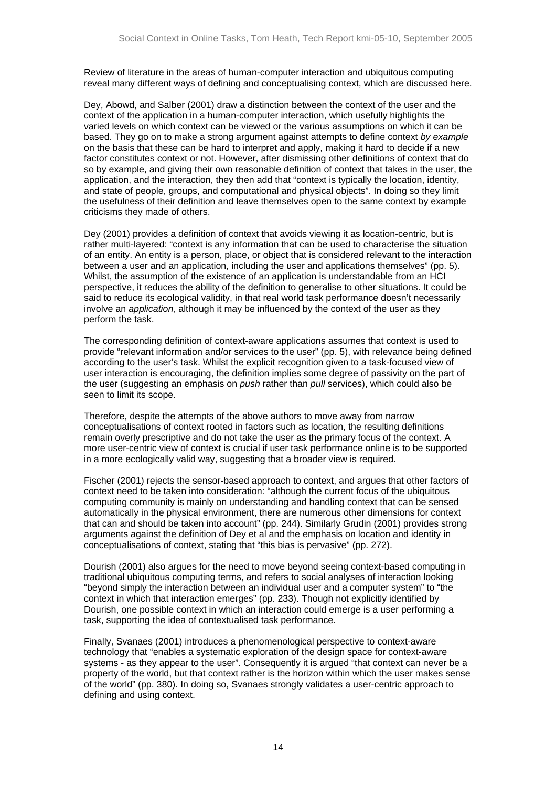Review of literature in the areas of human-computer interaction and ubiquitous computing reveal many different ways of defining and conceptualising context, which are discussed here.

Dey, Abowd, and Salber (2001) draw a distinction between the context of the user and the context of the application in a human-computer interaction, which usefully highlights the varied levels on which context can be viewed or the various assumptions on which it can be based. They go on to make a strong argument against attempts to define context *by example* on the basis that these can be hard to interpret and apply, making it hard to decide if a new factor constitutes context or not. However, after dismissing other definitions of context that do so by example, and giving their own reasonable definition of context that takes in the user, the application, and the interaction, they then add that "context is typically the location, identity, and state of people, groups, and computational and physical objects". In doing so they limit the usefulness of their definition and leave themselves open to the same context by example criticisms they made of others.

Dey (2001) provides a definition of context that avoids viewing it as location-centric, but is rather multi-layered: "context is any information that can be used to characterise the situation of an entity. An entity is a person, place, or object that is considered relevant to the interaction between a user and an application, including the user and applications themselves" (pp. 5). Whilst, the assumption of the existence of an application is understandable from an HCI perspective, it reduces the ability of the definition to generalise to other situations. It could be said to reduce its ecological validity, in that real world task performance doesn't necessarily involve an *application*, although it may be influenced by the context of the user as they perform the task.

The corresponding definition of context-aware applications assumes that context is used to provide "relevant information and/or services to the user" (pp. 5), with relevance being defined according to the user's task. Whilst the explicit recognition given to a task-focused view of user interaction is encouraging, the definition implies some degree of passivity on the part of the user (suggesting an emphasis on *push* rather than *pull* services), which could also be seen to limit its scope.

Therefore, despite the attempts of the above authors to move away from narrow conceptualisations of context rooted in factors such as location, the resulting definitions remain overly prescriptive and do not take the user as the primary focus of the context. A more user-centric view of context is crucial if user task performance online is to be supported in a more ecologically valid way, suggesting that a broader view is required.

Fischer (2001) rejects the sensor-based approach to context, and argues that other factors of context need to be taken into consideration: "although the current focus of the ubiquitous computing community is mainly on understanding and handling context that can be sensed automatically in the physical environment, there are numerous other dimensions for context that can and should be taken into account" (pp. 244). Similarly Grudin (2001) provides strong arguments against the definition of Dey et al and the emphasis on location and identity in conceptualisations of context, stating that "this bias is pervasive" (pp. 272).

Dourish (2001) also argues for the need to move beyond seeing context-based computing in traditional ubiquitous computing terms, and refers to social analyses of interaction looking "beyond simply the interaction between an individual user and a computer system" to "the context in which that interaction emerges" (pp. 233). Though not explicitly identified by Dourish, one possible context in which an interaction could emerge is a user performing a task, supporting the idea of contextualised task performance.

Finally, Svanaes (2001) introduces a phenomenological perspective to context-aware technology that "enables a systematic exploration of the design space for context-aware systems - as they appear to the user". Consequently it is argued "that context can never be a property of the world, but that context rather is the horizon within which the user makes sense of the world" (pp. 380). In doing so, Svanaes strongly validates a user-centric approach to defining and using context.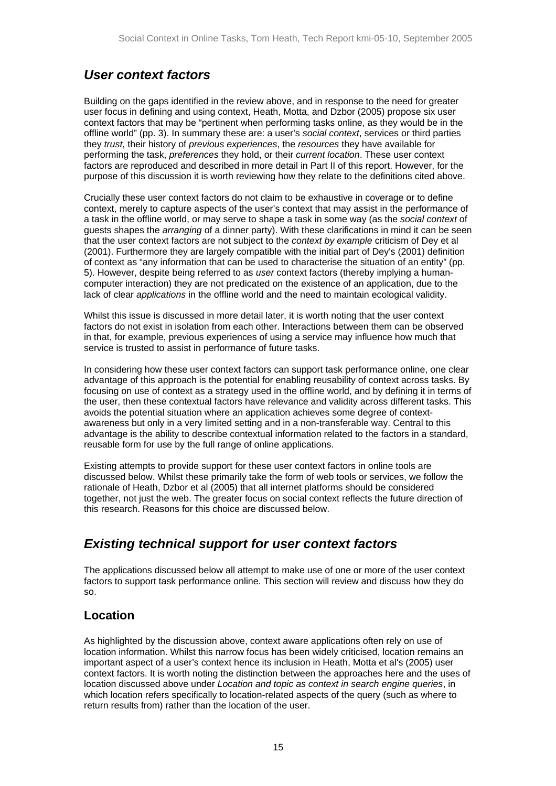## <span id="page-14-0"></span>*User context factors*

Building on the gaps identified in the review above, and in response to the need for greater user focus in defining and using context, Heath, Motta, and Dzbor (2005) propose six user context factors that may be "pertinent when performing tasks online, as they would be in the offline world" (pp. 3). In summary these are: a user's *social context*, services or third parties they *trust*, their history of *previous experiences*, the *resources* they have available for performing the task, *preferences* they hold, or their *current location*. These user context factors are reproduced and described in more detail in Part II of this report. However, for the purpose of this discussion it is worth reviewing how they relate to the definitions cited above.

Crucially these user context factors do not claim to be exhaustive in coverage or to define context, merely to capture aspects of the user's context that may assist in the performance of a task in the offline world, or may serve to shape a task in some way (as the *social context* of guests shapes the *arranging* of a dinner party). With these clarifications in mind it can be seen that the user context factors are not subject to the *context by example* criticism of Dey et al (2001). Furthermore they are largely compatible with the initial part of Dey's (2001) definition of context as "any information that can be used to characterise the situation of an entity" (pp. 5). However, despite being referred to as *user* context factors (thereby implying a humancomputer interaction) they are not predicated on the existence of an application, due to the lack of clear *applications* in the offline world and the need to maintain ecological validity.

Whilst this issue is discussed in more detail later, it is worth noting that the user context factors do not exist in isolation from each other. Interactions between them can be observed in that, for example, previous experiences of using a service may influence how much that service is trusted to assist in performance of future tasks.

In considering how these user context factors can support task performance online, one clear advantage of this approach is the potential for enabling reusability of context across tasks. By focusing on use of context as a strategy used in the offline world, and by defining it in terms of the user, then these contextual factors have relevance and validity across different tasks. This avoids the potential situation where an application achieves some degree of contextawareness but only in a very limited setting and in a non-transferable way. Central to this advantage is the ability to describe contextual information related to the factors in a standard, reusable form for use by the full range of online applications.

Existing attempts to provide support for these user context factors in online tools are discussed below. Whilst these primarily take the form of web tools or services, we follow the rationale of Heath, Dzbor et al (2005) that all internet platforms should be considered together, not just the web. The greater focus on social context reflects the future direction of this research. Reasons for this choice are discussed below.

## *Existing technical support for user context factors*

The applications discussed below all attempt to make use of one or more of the user context factors to support task performance online. This section will review and discuss how they do so.

## **Location**

As highlighted by the discussion above, context aware applications often rely on use of location information. Whilst this narrow focus has been widely criticised, location remains an important aspect of a user's context hence its inclusion in Heath, Motta et al's (2005) user context factors. It is worth noting the distinction between the approaches here and the uses of location discussed above under *Location and topic as context in search engine queries*, in which location refers specifically to location-related aspects of the query (such as where to return results from) rather than the location of the user.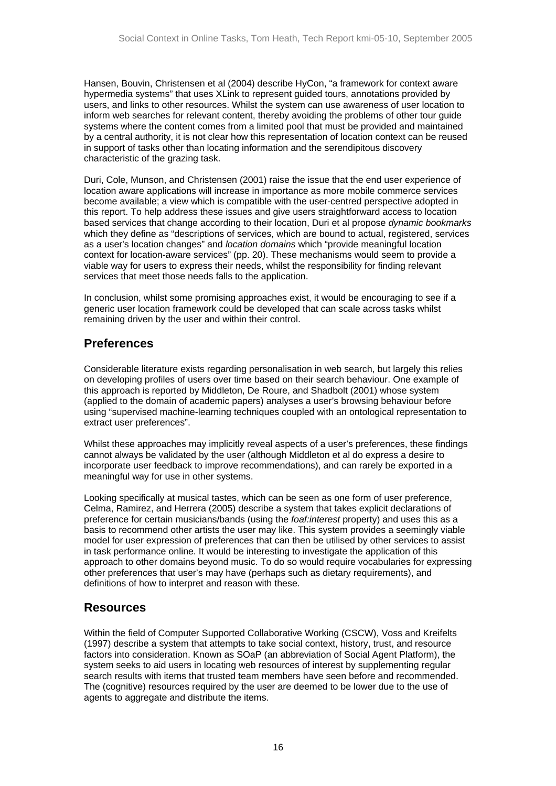<span id="page-15-0"></span>Hansen, Bouvin, Christensen et al (2004) describe HyCon, "a framework for context aware hypermedia systems" that uses XLink to represent guided tours, annotations provided by users, and links to other resources. Whilst the system can use awareness of user location to inform web searches for relevant content, thereby avoiding the problems of other tour guide systems where the content comes from a limited pool that must be provided and maintained by a central authority, it is not clear how this representation of location context can be reused in support of tasks other than locating information and the serendipitous discovery characteristic of the grazing task.

Duri, Cole, Munson, and Christensen (2001) raise the issue that the end user experience of location aware applications will increase in importance as more mobile commerce services become available; a view which is compatible with the user-centred perspective adopted in this report. To help address these issues and give users straightforward access to location based services that change according to their location, Duri et al propose *dynamic bookmarks* which they define as "descriptions of services, which are bound to actual, registered, services as a user's location changes" and *location domains* which "provide meaningful location context for location-aware services" (pp. 20). These mechanisms would seem to provide a viable way for users to express their needs, whilst the responsibility for finding relevant services that meet those needs falls to the application.

In conclusion, whilst some promising approaches exist, it would be encouraging to see if a generic user location framework could be developed that can scale across tasks whilst remaining driven by the user and within their control.

### **Preferences**

Considerable literature exists regarding personalisation in web search, but largely this relies on developing profiles of users over time based on their search behaviour. One example of this approach is reported by Middleton, De Roure, and Shadbolt (2001) whose system (applied to the domain of academic papers) analyses a user's browsing behaviour before using "supervised machine-learning techniques coupled with an ontological representation to extract user preferences".

Whilst these approaches may implicitly reveal aspects of a user's preferences, these findings cannot always be validated by the user (although Middleton et al do express a desire to incorporate user feedback to improve recommendations), and can rarely be exported in a meaningful way for use in other systems.

Looking specifically at musical tastes, which can be seen as one form of user preference, Celma, Ramirez, and Herrera (2005) describe a system that takes explicit declarations of preference for certain musicians/bands (using the *foaf:interest* property) and uses this as a basis to recommend other artists the user may like. This system provides a seemingly viable model for user expression of preferences that can then be utilised by other services to assist in task performance online. It would be interesting to investigate the application of this approach to other domains beyond music. To do so would require vocabularies for expressing other preferences that user's may have (perhaps such as dietary requirements), and definitions of how to interpret and reason with these.

### **Resources**

Within the field of Computer Supported Collaborative Working (CSCW), Voss and Kreifelts (1997) describe a system that attempts to take social context, history, trust, and resource factors into consideration. Known as SOaP (an abbreviation of Social Agent Platform), the system seeks to aid users in locating web resources of interest by supplementing regular search results with items that trusted team members have seen before and recommended. The (cognitive) resources required by the user are deemed to be lower due to the use of agents to aggregate and distribute the items.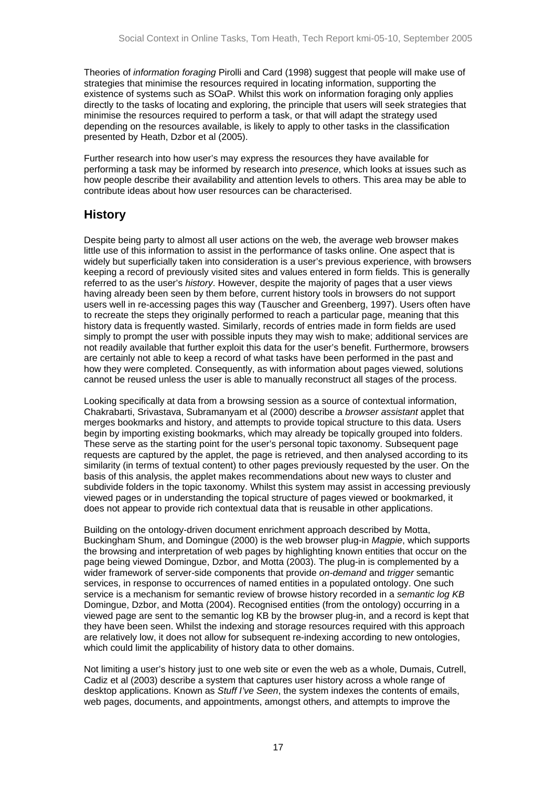<span id="page-16-0"></span>Theories of *information foraging* Pirolli and Card (1998) suggest that people will make use of strategies that minimise the resources required in locating information, supporting the existence of systems such as SOaP. Whilst this work on information foraging only applies directly to the tasks of locating and exploring, the principle that users will seek strategies that minimise the resources required to perform a task, or that will adapt the strategy used depending on the resources available, is likely to apply to other tasks in the classification presented by Heath, Dzbor et al (2005).

Further research into how user's may express the resources they have available for performing a task may be informed by research into *presence*, which looks at issues such as how people describe their availability and attention levels to others. This area may be able to contribute ideas about how user resources can be characterised.

### **History**

Despite being party to almost all user actions on the web, the average web browser makes little use of this information to assist in the performance of tasks online. One aspect that is widely but superficially taken into consideration is a user's previous experience, with browsers keeping a record of previously visited sites and values entered in form fields. This is generally referred to as the user's *history*. However, despite the majority of pages that a user views having already been seen by them before, current history tools in browsers do not support users well in re-accessing pages this way (Tauscher and Greenberg, 1997). Users often have to recreate the steps they originally performed to reach a particular page, meaning that this history data is frequently wasted. Similarly, records of entries made in form fields are used simply to prompt the user with possible inputs they may wish to make; additional services are not readily available that further exploit this data for the user's benefit. Furthermore, browsers are certainly not able to keep a record of what tasks have been performed in the past and how they were completed. Consequently, as with information about pages viewed, solutions cannot be reused unless the user is able to manually reconstruct all stages of the process.

Looking specifically at data from a browsing session as a source of contextual information, Chakrabarti, Srivastava, Subramanyam et al (2000) describe a *browser assistant* applet that merges bookmarks and history, and attempts to provide topical structure to this data. Users begin by importing existing bookmarks, which may already be topically grouped into folders. These serve as the starting point for the user's personal topic taxonomy. Subsequent page requests are captured by the applet, the page is retrieved, and then analysed according to its similarity (in terms of textual content) to other pages previously requested by the user. On the basis of this analysis, the applet makes recommendations about new ways to cluster and subdivide folders in the topic taxonomy. Whilst this system may assist in accessing previously viewed pages or in understanding the topical structure of pages viewed or bookmarked, it does not appear to provide rich contextual data that is reusable in other applications.

Building on the ontology-driven document enrichment approach described by Motta, Buckingham Shum, and Domingue (2000) is the web browser plug-in *Magpie*, which supports the browsing and interpretation of web pages by highlighting known entities that occur on the page being viewed Domingue, Dzbor, and Motta (2003). The plug-in is complemented by a wider framework of server-side components that provide *on-demand* and *trigger* semantic services, in response to occurrences of named entities in a populated ontology. One such service is a mechanism for semantic review of browse history recorded in a *semantic log KB* Domingue, Dzbor, and Motta (2004). Recognised entities (from the ontology) occurring in a viewed page are sent to the semantic log KB by the browser plug-in, and a record is kept that they have been seen. Whilst the indexing and storage resources required with this approach are relatively low, it does not allow for subsequent re-indexing according to new ontologies, which could limit the applicability of history data to other domains.

Not limiting a user's history just to one web site or even the web as a whole, Dumais, Cutrell, Cadiz et al (2003) describe a system that captures user history across a whole range of desktop applications. Known as *Stuff I've Seen*, the system indexes the contents of emails, web pages, documents, and appointments, amongst others, and attempts to improve the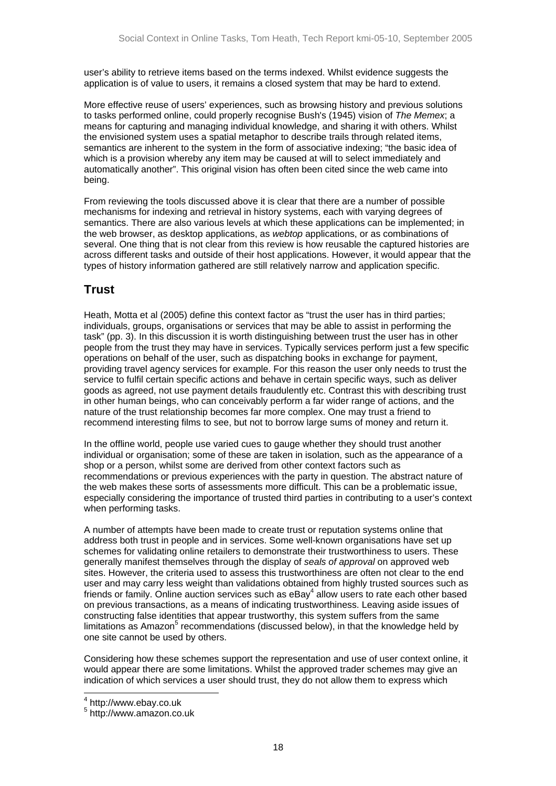<span id="page-17-0"></span>user's ability to retrieve items based on the terms indexed. Whilst evidence suggests the application is of value to users, it remains a closed system that may be hard to extend.

More effective reuse of users' experiences, such as browsing history and previous solutions to tasks performed online, could properly recognise Bush's (1945) vision of *The Memex*; a means for capturing and managing individual knowledge, and sharing it with others. Whilst the envisioned system uses a spatial metaphor to describe trails through related items, semantics are inherent to the system in the form of associative indexing; "the basic idea of which is a provision whereby any item may be caused at will to select immediately and automatically another". This original vision has often been cited since the web came into being.

From reviewing the tools discussed above it is clear that there are a number of possible mechanisms for indexing and retrieval in history systems, each with varying degrees of semantics. There are also various levels at which these applications can be implemented; in the web browser, as desktop applications, as *webtop* applications, or as combinations of several. One thing that is not clear from this review is how reusable the captured histories are across different tasks and outside of their host applications. However, it would appear that the types of history information gathered are still relatively narrow and application specific.

### **Trust**

Heath, Motta et al (2005) define this context factor as "trust the user has in third parties; individuals, groups, organisations or services that may be able to assist in performing the task" (pp. 3). In this discussion it is worth distinguishing between trust the user has in other people from the trust they may have in services. Typically services perform just a few specific operations on behalf of the user, such as dispatching books in exchange for payment, providing travel agency services for example. For this reason the user only needs to trust the service to fulfil certain specific actions and behave in certain specific ways, such as deliver goods as agreed, not use payment details fraudulently etc. Contrast this with describing trust in other human beings, who can conceivably perform a far wider range of actions, and the nature of the trust relationship becomes far more complex. One may trust a friend to recommend interesting films to see, but not to borrow large sums of money and return it.

In the offline world, people use varied cues to gauge whether they should trust another individual or organisation; some of these are taken in isolation, such as the appearance of a shop or a person, whilst some are derived from other context factors such as recommendations or previous experiences with the party in question. The abstract nature of the web makes these sorts of assessments more difficult. This can be a problematic issue, especially considering the importance of trusted third parties in contributing to a user's context when performing tasks.

A number of attempts have been made to create trust or reputation systems online that address both trust in people and in services. Some well-known organisations have set up schemes for validating online retailers to demonstrate their trustworthiness to users. These generally manifest themselves through the display of *seals of approval* on approved web sites. However, the criteria used to assess this trustworthiness are often not clear to the end user and may carry less weight than validations obtained from highly trusted sources such as friends or family. Online auction services such as  $e$ Bay $^4$  $^4$  allow users to rate each other based on previous transactions, as a means of indicating trustworthiness. Leaving aside issues of constructing false identities that appear trustworthy, this system suffers from the same limitations as Amazon<sup>[5](#page-17-2)</sup> recommendations (discussed below), in that the knowledge held by one site cannot be used by others.

Considering how these schemes support the representation and use of user context online, it would appear there are some limitations. Whilst the approved trader schemes may give an indication of which services a user should trust, they do not allow them to express which

<span id="page-17-1"></span> <sup>4</sup> http://www.ebay.co.uk

<span id="page-17-2"></span><sup>5</sup> http://www.amazon.co.uk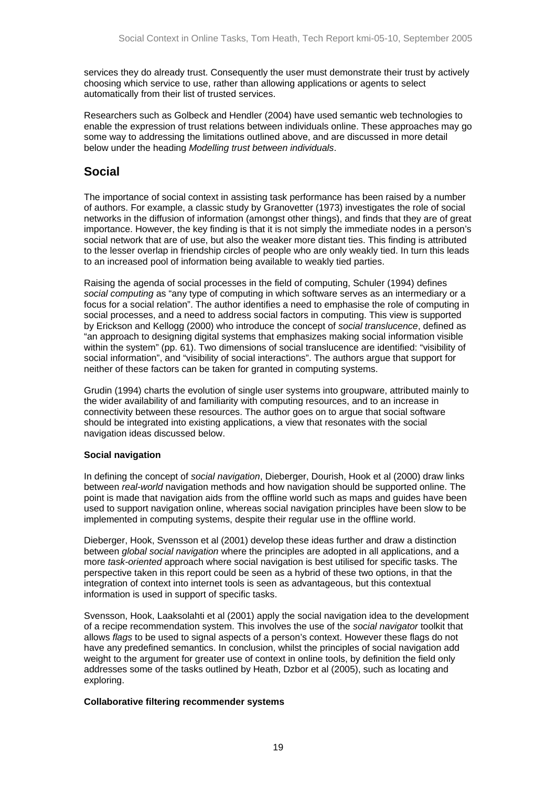<span id="page-18-0"></span>services they do already trust. Consequently the user must demonstrate their trust by actively choosing which service to use, rather than allowing applications or agents to select automatically from their list of trusted services.

Researchers such as Golbeck and Hendler (2004) have used semantic web technologies to enable the expression of trust relations between individuals online. These approaches may go some way to addressing the limitations outlined above, and are discussed in more detail below under the heading *Modelling trust between individuals*.

### **Social**

The importance of social context in assisting task performance has been raised by a number of authors. For example, a classic study by Granovetter (1973) investigates the role of social networks in the diffusion of information (amongst other things), and finds that they are of great importance. However, the key finding is that it is not simply the immediate nodes in a person's social network that are of use, but also the weaker more distant ties. This finding is attributed to the lesser overlap in friendship circles of people who are only weakly tied. In turn this leads to an increased pool of information being available to weakly tied parties.

Raising the agenda of social processes in the field of computing, Schuler (1994) defines *social computing* as "any type of computing in which software serves as an intermediary or a focus for a social relation". The author identifies a need to emphasise the role of computing in social processes, and a need to address social factors in computing. This view is supported by Erickson and Kellogg (2000) who introduce the concept of *social translucence*, defined as "an approach to designing digital systems that emphasizes making social information visible within the system" (pp. 61). Two dimensions of social translucence are identified: "visibility of social information", and "visibility of social interactions". The authors argue that support for neither of these factors can be taken for granted in computing systems.

Grudin (1994) charts the evolution of single user systems into groupware, attributed mainly to the wider availability of and familiarity with computing resources, and to an increase in connectivity between these resources. The author goes on to argue that social software should be integrated into existing applications, a view that resonates with the social navigation ideas discussed below.

#### **Social navigation**

In defining the concept of *social navigation*, Dieberger, Dourish, Hook et al (2000) draw links between *real-world* navigation methods and how navigation should be supported online. The point is made that navigation aids from the offline world such as maps and guides have been used to support navigation online, whereas social navigation principles have been slow to be implemented in computing systems, despite their regular use in the offline world.

Dieberger, Hook, Svensson et al (2001) develop these ideas further and draw a distinction between *global social navigation* where the principles are adopted in all applications, and a more *task-oriented* approach where social navigation is best utilised for specific tasks. The perspective taken in this report could be seen as a hybrid of these two options, in that the integration of context into internet tools is seen as advantageous, but this contextual information is used in support of specific tasks.

Svensson, Hook, Laaksolahti et al (2001) apply the social navigation idea to the development of a recipe recommendation system. This involves the use of the *social navigator* toolkit that allows *flags* to be used to signal aspects of a person's context. However these flags do not have any predefined semantics. In conclusion, whilst the principles of social navigation add weight to the argument for greater use of context in online tools, by definition the field only addresses some of the tasks outlined by Heath, Dzbor et al (2005), such as locating and exploring.

#### **Collaborative filtering recommender systems**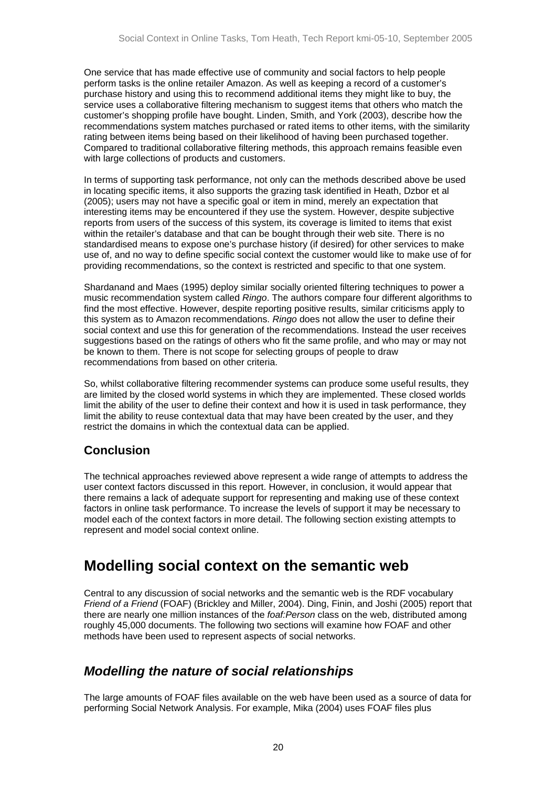<span id="page-19-0"></span>One service that has made effective use of community and social factors to help people perform tasks is the online retailer Amazon. As well as keeping a record of a customer's purchase history and using this to recommend additional items they might like to buy, the service uses a collaborative filtering mechanism to suggest items that others who match the customer's shopping profile have bought. Linden, Smith, and York (2003), describe how the recommendations system matches purchased or rated items to other items, with the similarity rating between items being based on their likelihood of having been purchased together. Compared to traditional collaborative filtering methods, this approach remains feasible even with large collections of products and customers.

In terms of supporting task performance, not only can the methods described above be used in locating specific items, it also supports the grazing task identified in Heath, Dzbor et al (2005); users may not have a specific goal or item in mind, merely an expectation that interesting items may be encountered if they use the system. However, despite subjective reports from users of the success of this system, its coverage is limited to items that exist within the retailer's database and that can be bought through their web site. There is no standardised means to expose one's purchase history (if desired) for other services to make use of, and no way to define specific social context the customer would like to make use of for providing recommendations, so the context is restricted and specific to that one system.

Shardanand and Maes (1995) deploy similar socially oriented filtering techniques to power a music recommendation system called *Ringo*. The authors compare four different algorithms to find the most effective. However, despite reporting positive results, similar criticisms apply to this system as to Amazon recommendations. *Ringo* does not allow the user to define their social context and use this for generation of the recommendations. Instead the user receives suggestions based on the ratings of others who fit the same profile, and who may or may not be known to them. There is not scope for selecting groups of people to draw recommendations from based on other criteria.

So, whilst collaborative filtering recommender systems can produce some useful results, they are limited by the closed world systems in which they are implemented. These closed worlds limit the ability of the user to define their context and how it is used in task performance, they limit the ability to reuse contextual data that may have been created by the user, and they restrict the domains in which the contextual data can be applied.

## **Conclusion**

The technical approaches reviewed above represent a wide range of attempts to address the user context factors discussed in this report. However, in conclusion, it would appear that there remains a lack of adequate support for representing and making use of these context factors in online task performance. To increase the levels of support it may be necessary to model each of the context factors in more detail. The following section existing attempts to represent and model social context online.

# **Modelling social context on the semantic web**

Central to any discussion of social networks and the semantic web is the RDF vocabulary *Friend of a Friend* (FOAF) (Brickley and Miller, 2004). Ding, Finin, and Joshi (2005) report that there are nearly one million instances of the *foaf:Person* class on the web, distributed among roughly 45,000 documents. The following two sections will examine how FOAF and other methods have been used to represent aspects of social networks.

## *Modelling the nature of social relationships*

The large amounts of FOAF files available on the web have been used as a source of data for performing Social Network Analysis. For example, Mika (2004) uses FOAF files plus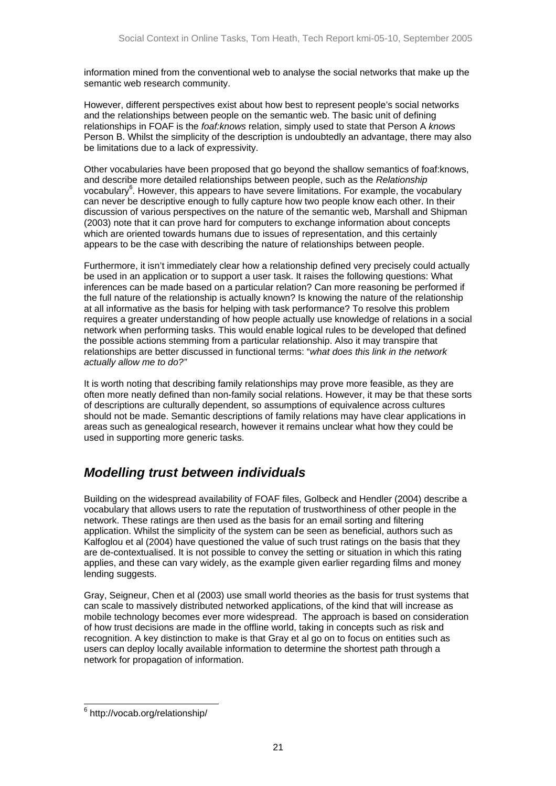<span id="page-20-0"></span>information mined from the conventional web to analyse the social networks that make up the semantic web research community.

However, different perspectives exist about how best to represent people's social networks and the relationships between people on the semantic web. The basic unit of defining relationships in FOAF is the *foaf:knows* relation, simply used to state that Person A *knows* Person B. Whilst the simplicity of the description is undoubtedly an advantage, there may also be limitations due to a lack of expressivity.

Other vocabularies have been proposed that go beyond the shallow semantics of foaf:knows, and describe more detailed relationships between people, such as the *Relationship* vocabulary<sup>6</sup>[.](#page-20-1) However, this appears to have severe limitations. For example, the vocabulary can never be descriptive enough to fully capture how two people know each other. In their discussion of various perspectives on the nature of the semantic web, Marshall and Shipman (2003) note that it can prove hard for computers to exchange information about concepts which are oriented towards humans due to issues of representation, and this certainly appears to be the case with describing the nature of relationships between people.

Furthermore, it isn't immediately clear how a relationship defined very precisely could actually be used in an application or to support a user task. It raises the following questions: What inferences can be made based on a particular relation? Can more reasoning be performed if the full nature of the relationship is actually known? Is knowing the nature of the relationship at all informative as the basis for helping with task performance? To resolve this problem requires a greater understanding of how people actually use knowledge of relations in a social network when performing tasks. This would enable logical rules to be developed that defined the possible actions stemming from a particular relationship. Also it may transpire that relationships are better discussed in functional terms: "*what does this link in the network actually allow me to do?"*

It is worth noting that describing family relationships may prove more feasible, as they are often more neatly defined than non-family social relations. However, it may be that these sorts of descriptions are culturally dependent, so assumptions of equivalence across cultures should not be made. Semantic descriptions of family relations may have clear applications in areas such as genealogical research, however it remains unclear what how they could be used in supporting more generic tasks.

## *Modelling trust between individuals*

Building on the widespread availability of FOAF files, Golbeck and Hendler (2004) describe a vocabulary that allows users to rate the reputation of trustworthiness of other people in the network. These ratings are then used as the basis for an email sorting and filtering application. Whilst the simplicity of the system can be seen as beneficial, authors such as Kalfoglou et al (2004) have questioned the value of such trust ratings on the basis that they are de-contextualised. It is not possible to convey the setting or situation in which this rating applies, and these can vary widely, as the example given earlier regarding films and money lending suggests.

Gray, Seigneur, Chen et al (2003) use small world theories as the basis for trust systems that can scale to massively distributed networked applications, of the kind that will increase as mobile technology becomes ever more widespread. The approach is based on consideration of how trust decisions are made in the offline world, taking in concepts such as risk and recognition. A key distinction to make is that Gray et al go on to focus on entities such as users can deploy locally available information to determine the shortest path through a network for propagation of information.

<span id="page-20-1"></span> <sup>6</sup> http://vocab.org/relationship/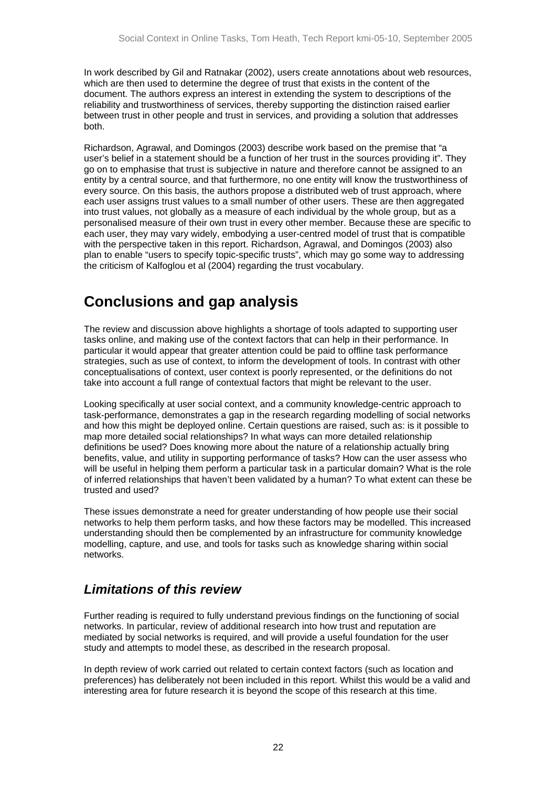<span id="page-21-0"></span>In work described by Gil and Ratnakar (2002), users create annotations about web resources, which are then used to determine the degree of trust that exists in the content of the document. The authors express an interest in extending the system to descriptions of the reliability and trustworthiness of services, thereby supporting the distinction raised earlier between trust in other people and trust in services, and providing a solution that addresses both.

Richardson, Agrawal, and Domingos (2003) describe work based on the premise that "a user's belief in a statement should be a function of her trust in the sources providing it". They go on to emphasise that trust is subjective in nature and therefore cannot be assigned to an entity by a central source, and that furthermore, no one entity will know the trustworthiness of every source. On this basis, the authors propose a distributed web of trust approach, where each user assigns trust values to a small number of other users. These are then aggregated into trust values, not globally as a measure of each individual by the whole group, but as a personalised measure of their own trust in every other member. Because these are specific to each user, they may vary widely, embodying a user-centred model of trust that is compatible with the perspective taken in this report. Richardson, Agrawal, and Domingos (2003) also plan to enable "users to specify topic-specific trusts", which may go some way to addressing the criticism of Kalfoglou et al (2004) regarding the trust vocabulary.

# **Conclusions and gap analysis**

The review and discussion above highlights a shortage of tools adapted to supporting user tasks online, and making use of the context factors that can help in their performance. In particular it would appear that greater attention could be paid to offline task performance strategies, such as use of context, to inform the development of tools. In contrast with other conceptualisations of context, user context is poorly represented, or the definitions do not take into account a full range of contextual factors that might be relevant to the user.

Looking specifically at user social context, and a community knowledge-centric approach to task-performance, demonstrates a gap in the research regarding modelling of social networks and how this might be deployed online. Certain questions are raised, such as: is it possible to map more detailed social relationships? In what ways can more detailed relationship definitions be used? Does knowing more about the nature of a relationship actually bring benefits, value, and utility in supporting performance of tasks? How can the user assess who will be useful in helping them perform a particular task in a particular domain? What is the role of inferred relationships that haven't been validated by a human? To what extent can these be trusted and used?

These issues demonstrate a need for greater understanding of how people use their social networks to help them perform tasks, and how these factors may be modelled. This increased understanding should then be complemented by an infrastructure for community knowledge modelling, capture, and use, and tools for tasks such as knowledge sharing within social networks.

## *Limitations of this review*

Further reading is required to fully understand previous findings on the functioning of social networks. In particular, review of additional research into how trust and reputation are mediated by social networks is required, and will provide a useful foundation for the user study and attempts to model these, as described in the research proposal.

In depth review of work carried out related to certain context factors (such as location and preferences) has deliberately not been included in this report. Whilst this would be a valid and interesting area for future research it is beyond the scope of this research at this time.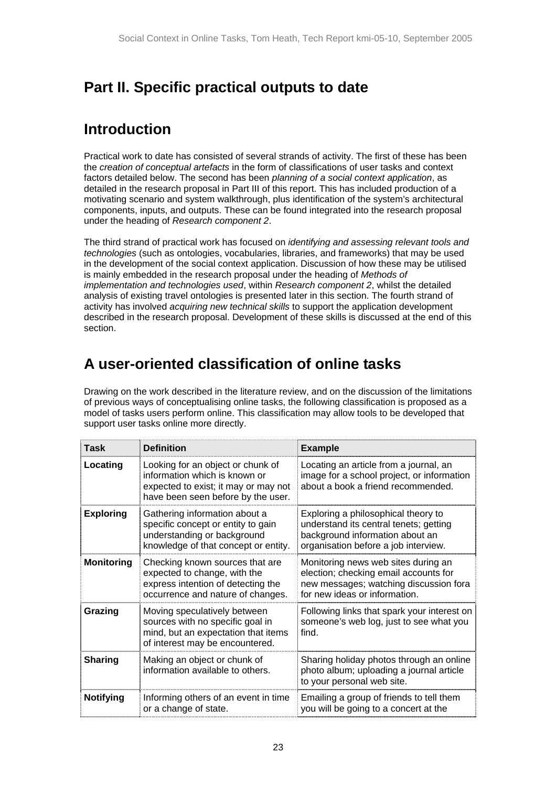# <span id="page-22-0"></span>**Part II. Specific practical outputs to date**

# **Introduction**

Practical work to date has consisted of several strands of activity. The first of these has been the *creation of conceptual artefacts* in the form of classifications of user tasks and context factors detailed below. The second has been *planning of a social context application*, as detailed in the research proposal in Part III of this report. This has included production of a motivating scenario and system walkthrough, plus identification of the system's architectural components, inputs, and outputs. These can be found integrated into the research proposal under the heading of *Research component 2*.

The third strand of practical work has focused on *identifying and assessing relevant tools and technologies* (such as ontologies, vocabularies, libraries, and frameworks) that may be used in the development of the social context application. Discussion of how these may be utilised is mainly embedded in the research proposal under the heading of *Methods of implementation and technologies used*, within *Research component 2*, whilst the detailed analysis of existing travel ontologies is presented later in this section. The fourth strand of activity has involved *acquiring new technical skills* to support the application development described in the research proposal. Development of these skills is discussed at the end of this section.

# **A user-oriented classification of online tasks**

Drawing on the work described in the literature review, and on the discussion of the limitations of previous ways of conceptualising online tasks, the following classification is proposed as a model of tasks users perform online. This classification may allow tools to be developed that support user tasks online more directly.

| <b>Task</b>       | <b>Definition</b>                                                                                                                                                                                                                                                                                      | <b>Example</b>                                                                                                                                          |
|-------------------|--------------------------------------------------------------------------------------------------------------------------------------------------------------------------------------------------------------------------------------------------------------------------------------------------------|---------------------------------------------------------------------------------------------------------------------------------------------------------|
| Locating          | Looking for an object or chunk of<br>information which is known or<br>expected to exist; it may or may not<br>have been seen before by the user.                                                                                                                                                       | Locating an article from a journal, an<br>image for a school project, or information<br>about a book a friend recommended.                              |
| <b>Exploring</b>  | Gathering information about a<br>Exploring a philosophical theory to<br>specific concept or entity to gain<br>understand its central tenets; getting<br>understanding or background<br>background information about an<br>knowledge of that concept or entity.<br>organisation before a job interview. |                                                                                                                                                         |
| <b>Monitoring</b> | Checking known sources that are<br>expected to change, with the<br>express intention of detecting the<br>occurrence and nature of changes.                                                                                                                                                             | Monitoring news web sites during an<br>election; checking email accounts for<br>new messages; watching discussion fora<br>for new ideas or information. |
| Grazing           | Following links that spark your interest on<br>Moving speculatively between<br>sources with no specific goal in<br>someone's web log, just to see what you<br>mind, but an expectation that items<br>find.<br>of interest may be encountered.                                                          |                                                                                                                                                         |
| <b>Sharing</b>    | Making an object or chunk of<br>information available to others.                                                                                                                                                                                                                                       | Sharing holiday photos through an online<br>photo album; uploading a journal article<br>to your personal web site.                                      |
| <b>Notifying</b>  | Informing others of an event in time<br>or a change of state.                                                                                                                                                                                                                                          | Emailing a group of friends to tell them<br>you will be going to a concert at the                                                                       |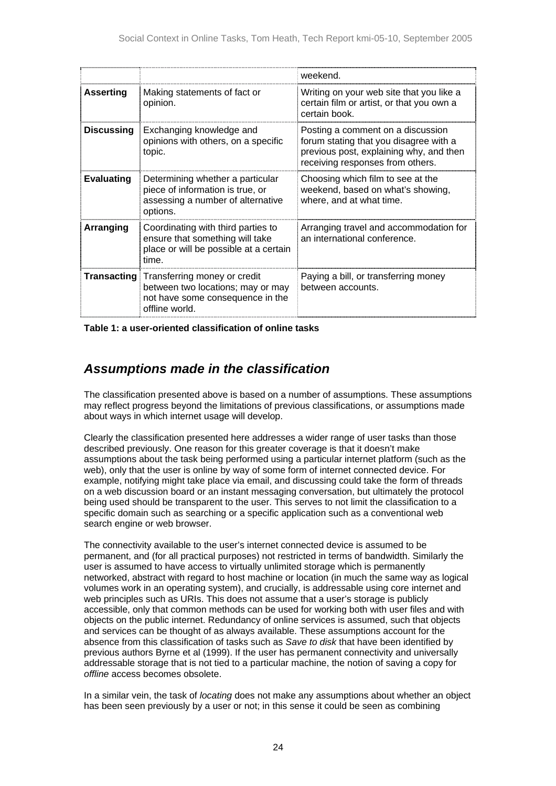<span id="page-23-0"></span>

|                   |                                                                                                                                                                                                    | weekend.                                                                                                                                                   |
|-------------------|----------------------------------------------------------------------------------------------------------------------------------------------------------------------------------------------------|------------------------------------------------------------------------------------------------------------------------------------------------------------|
| <b>Asserting</b>  | Making statements of fact or<br>opinion.                                                                                                                                                           | Writing on your web site that you like a<br>certain film or artist, or that you own a<br>certain book.                                                     |
| <b>Discussing</b> | Exchanging knowledge and<br>opinions with others, on a specific<br>topic.                                                                                                                          | Posting a comment on a discussion<br>forum stating that you disagree with a<br>previous post, explaining why, and then<br>receiving responses from others. |
| <b>Evaluating</b> | Determining whether a particular<br>piece of information is true, or<br>assessing a number of alternative<br>options.                                                                              | Choosing which film to see at the<br>weekend, based on what's showing,<br>where, and at what time.                                                         |
| Arranging         | Coordinating with third parties to<br>Arranging travel and accommodation for<br>an international conference.<br>ensure that something will take<br>place or will be possible at a certain<br>time. |                                                                                                                                                            |
|                   | <b>Transacting Transferring money or credit</b><br>between two locations; may or may<br>not have some consequence in the<br>offline world.                                                         | Paying a bill, or transferring money<br>between accounts.                                                                                                  |

**Table 1: a user-oriented classification of online tasks** 

## *Assumptions made in the classification*

The classification presented above is based on a number of assumptions. These assumptions may reflect progress beyond the limitations of previous classifications, or assumptions made about ways in which internet usage will develop.

Clearly the classification presented here addresses a wider range of user tasks than those described previously. One reason for this greater coverage is that it doesn't make assumptions about the task being performed using a particular internet platform (such as the web), only that the user is online by way of some form of internet connected device. For example, notifying might take place via email, and discussing could take the form of threads on a web discussion board or an instant messaging conversation, but ultimately the protocol being used should be transparent to the user. This serves to not limit the classification to a specific domain such as searching or a specific application such as a conventional web search engine or web browser.

The connectivity available to the user's internet connected device is assumed to be permanent, and (for all practical purposes) not restricted in terms of bandwidth. Similarly the user is assumed to have access to virtually unlimited storage which is permanently networked, abstract with regard to host machine or location (in much the same way as logical volumes work in an operating system), and crucially, is addressable using core internet and web principles such as URIs. This does not assume that a user's storage is publicly accessible, only that common methods can be used for working both with user files and with objects on the public internet. Redundancy of online services is assumed, such that objects and services can be thought of as always available. These assumptions account for the absence from this classification of tasks such as *Save to disk* that have been identified by previous authors Byrne et al (1999). If the user has permanent connectivity and universally addressable storage that is not tied to a particular machine, the notion of saving a copy for *offline* access becomes obsolete.

In a similar vein, the task of *locating* does not make any assumptions about whether an object has been seen previously by a user or not; in this sense it could be seen as combining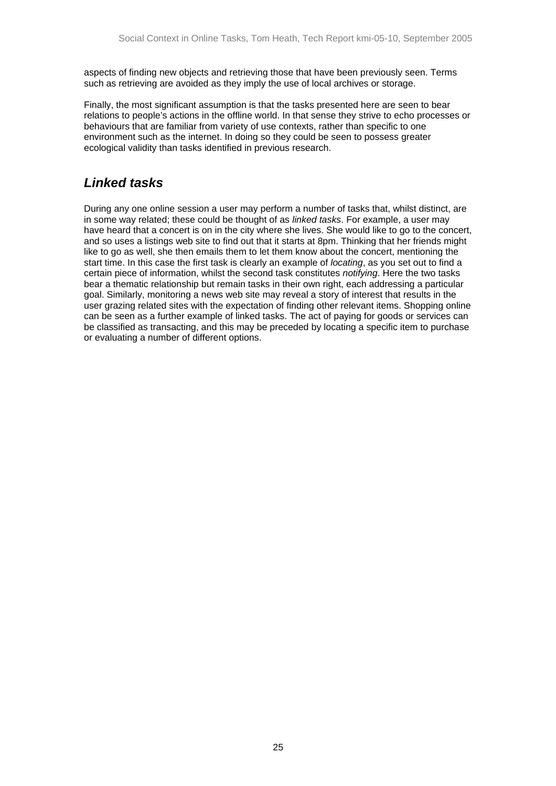<span id="page-24-0"></span>aspects of finding new objects and retrieving those that have been previously seen. Terms such as retrieving are avoided as they imply the use of local archives or storage.

Finally, the most significant assumption is that the tasks presented here are seen to bear relations to people's actions in the offline world. In that sense they strive to echo processes or behaviours that are familiar from variety of use contexts, rather than specific to one environment such as the internet. In doing so they could be seen to possess greater ecological validity than tasks identified in previous research.

## *Linked tasks*

During any one online session a user may perform a number of tasks that, whilst distinct, are in some way related; these could be thought of as *linked tasks*. For example, a user may have heard that a concert is on in the city where she lives. She would like to go to the concert, and so uses a listings web site to find out that it starts at 8pm. Thinking that her friends might like to go as well, she then emails them to let them know about the concert, mentioning the start time. In this case the first task is clearly an example of *locating*, as you set out to find a certain piece of information, whilst the second task constitutes *notifying*. Here the two tasks bear a thematic relationship but remain tasks in their own right, each addressing a particular goal. Similarly, monitoring a news web site may reveal a story of interest that results in the user grazing related sites with the expectation of finding other relevant items. Shopping online can be seen as a further example of linked tasks. The act of paying for goods or services can be classified as transacting, and this may be preceded by locating a specific item to purchase or evaluating a number of different options.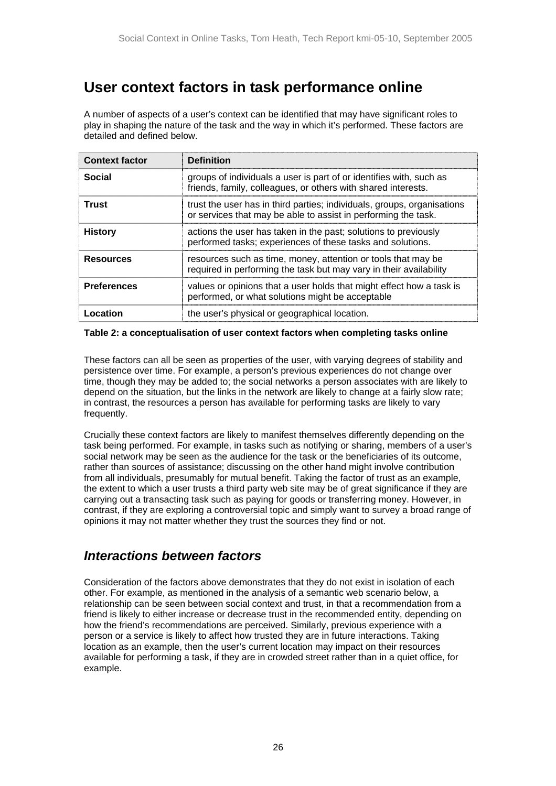# <span id="page-25-0"></span>**User context factors in task performance online**

A number of aspects of a user's context can be identified that may have significant roles to play in shaping the nature of the task and the way in which it's performed. These factors are detailed and defined below.

| <b>Context factor</b> | <b>Definition</b>                                                                                                                         |
|-----------------------|-------------------------------------------------------------------------------------------------------------------------------------------|
| <b>Social</b>         | groups of individuals a user is part of or identifies with, such as<br>friends, family, colleagues, or others with shared interests.      |
| Trust                 | trust the user has in third parties; individuals, groups, organisations<br>or services that may be able to assist in performing the task. |
| <b>History</b>        | actions the user has taken in the past; solutions to previously<br>performed tasks; experiences of these tasks and solutions.             |
| <b>Resources</b>      | resources such as time, money, attention or tools that may be<br>required in performing the task but may vary in their availability       |
| <b>Preferences</b>    | values or opinions that a user holds that might effect how a task is<br>performed, or what solutions might be acceptable                  |
| Location              | the user's physical or geographical location.                                                                                             |

#### **Table 2: a conceptualisation of user context factors when completing tasks online**

These factors can all be seen as properties of the user, with varying degrees of stability and persistence over time. For example, a person's previous experiences do not change over time, though they may be added to; the social networks a person associates with are likely to depend on the situation, but the links in the network are likely to change at a fairly slow rate; in contrast, the resources a person has available for performing tasks are likely to vary frequently.

Crucially these context factors are likely to manifest themselves differently depending on the task being performed. For example, in tasks such as notifying or sharing, members of a user's social network may be seen as the audience for the task or the beneficiaries of its outcome, rather than sources of assistance; discussing on the other hand might involve contribution from all individuals, presumably for mutual benefit. Taking the factor of trust as an example, the extent to which a user trusts a third party web site may be of great significance if they are carrying out a transacting task such as paying for goods or transferring money. However, in contrast, if they are exploring a controversial topic and simply want to survey a broad range of opinions it may not matter whether they trust the sources they find or not.

## *Interactions between factors*

Consideration of the factors above demonstrates that they do not exist in isolation of each other. For example, as mentioned in the analysis of a semantic web scenario below, a relationship can be seen between social context and trust, in that a recommendation from a friend is likely to either increase or decrease trust in the recommended entity, depending on how the friend's recommendations are perceived. Similarly, previous experience with a person or a service is likely to affect how trusted they are in future interactions. Taking location as an example, then the user's current location may impact on their resources available for performing a task, if they are in crowded street rather than in a quiet office, for example.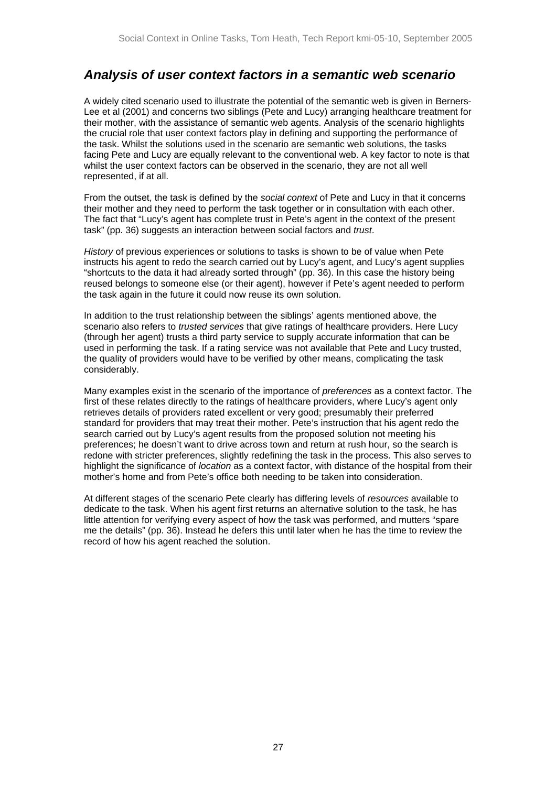## <span id="page-26-0"></span>*Analysis of user context factors in a semantic web scenario*

A widely cited scenario used to illustrate the potential of the semantic web is given in Berners-Lee et al (2001) and concerns two siblings (Pete and Lucy) arranging healthcare treatment for their mother, with the assistance of semantic web agents. Analysis of the scenario highlights the crucial role that user context factors play in defining and supporting the performance of the task. Whilst the solutions used in the scenario are semantic web solutions, the tasks facing Pete and Lucy are equally relevant to the conventional web. A key factor to note is that whilst the user context factors can be observed in the scenario, they are not all well represented, if at all.

From the outset, the task is defined by the *social context* of Pete and Lucy in that it concerns their mother and they need to perform the task together or in consultation with each other. The fact that "Lucy's agent has complete trust in Pete's agent in the context of the present task" (pp. 36) suggests an interaction between social factors and *trust*.

*History* of previous experiences or solutions to tasks is shown to be of value when Pete instructs his agent to redo the search carried out by Lucy's agent, and Lucy's agent supplies "shortcuts to the data it had already sorted through" (pp. 36). In this case the history being reused belongs to someone else (or their agent), however if Pete's agent needed to perform the task again in the future it could now reuse its own solution.

In addition to the trust relationship between the siblings' agents mentioned above, the scenario also refers to *trusted services* that give ratings of healthcare providers. Here Lucy (through her agent) trusts a third party service to supply accurate information that can be used in performing the task. If a rating service was not available that Pete and Lucy trusted, the quality of providers would have to be verified by other means, complicating the task considerably.

Many examples exist in the scenario of the importance of *preferences* as a context factor. The first of these relates directly to the ratings of healthcare providers, where Lucy's agent only retrieves details of providers rated excellent or very good; presumably their preferred standard for providers that may treat their mother. Pete's instruction that his agent redo the search carried out by Lucy's agent results from the proposed solution not meeting his preferences; he doesn't want to drive across town and return at rush hour, so the search is redone with stricter preferences, slightly redefining the task in the process. This also serves to highlight the significance of *location* as a context factor, with distance of the hospital from their mother's home and from Pete's office both needing to be taken into consideration.

At different stages of the scenario Pete clearly has differing levels of *resources* available to dedicate to the task. When his agent first returns an alternative solution to the task, he has little attention for verifying every aspect of how the task was performed, and mutters "spare me the details" (pp. 36). Instead he defers this until later when he has the time to review the record of how his agent reached the solution.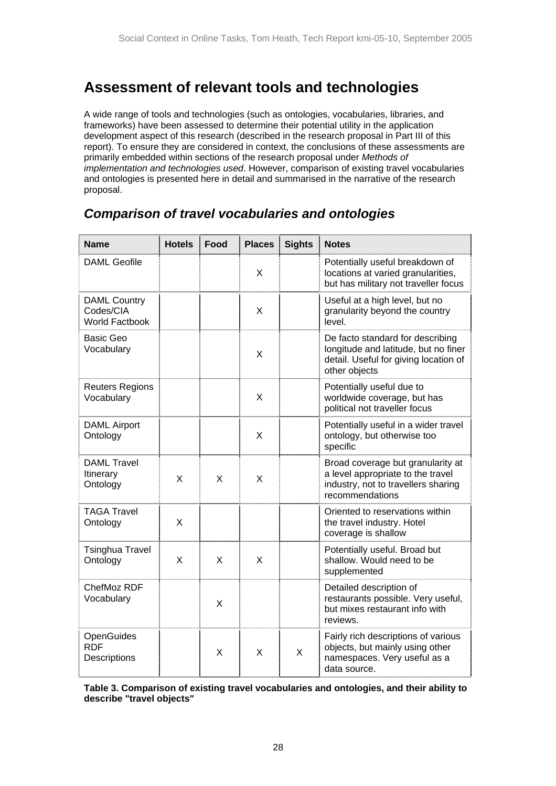# <span id="page-27-0"></span>**Assessment of relevant tools and technologies**

A wide range of tools and technologies (such as ontologies, vocabularies, libraries, and frameworks) have been assessed to determine their potential utility in the application development aspect of this research (described in the research proposal in Part III of this report). To ensure they are considered in context, the conclusions of these assessments are primarily embedded within sections of the research proposal under *Methods of implementation and technologies used*. However, comparison of existing travel vocabularies and ontologies is presented here in detail and summarised in the narrative of the research proposal.

#### **Name Hotels Food Places Sights Notes** DAML Geofile X Potentially useful breakdown of locations at varied granularities. but has military not traveller focus DAML Country Codes/CIA World Factbook X Useful at a high level, but no granularity beyond the country level. Basic Geo Vocabulary **X** X De facto standard for describing longitude and latitude, but no finer detail. Useful for giving location of other objects Reuters Regions Vocabulary **X** Potentially useful due to worldwide coverage, but has political not traveller focus DAML Airport Ontology | | X Potentially useful in a wider travel ontology, but otherwise too specific DAML Travel Itinerary Tunerary<br>Ontology X X X Broad coverage but granularity at a level appropriate to the travel industry, not to travellers sharing recommendations TAGA Travel Ontology | X Oriented to reservations within the travel industry. Hotel coverage is shallow Tsinghua Travel Ontology X X X Potentially useful. Broad but shallow. Would need to be supplemented ChefMoz RDF Vocabulary  $\vert$   $\vert$   $\vert$   $\chi$ Detailed description of restaurants possible. Very useful, but mixes restaurant info with reviews. **OpenGuides** RDF **Descriptions**  $\mathsf{X}$  |  $\mathsf{X}$  |  $\mathsf{X}$ Fairly rich descriptions of various objects, but mainly using other namespaces. Very useful as a data source.

## *Comparison of travel vocabularies and ontologies*

**Table 3. Comparison of existing travel vocabularies and ontologies, and their ability to describe "travel objects"**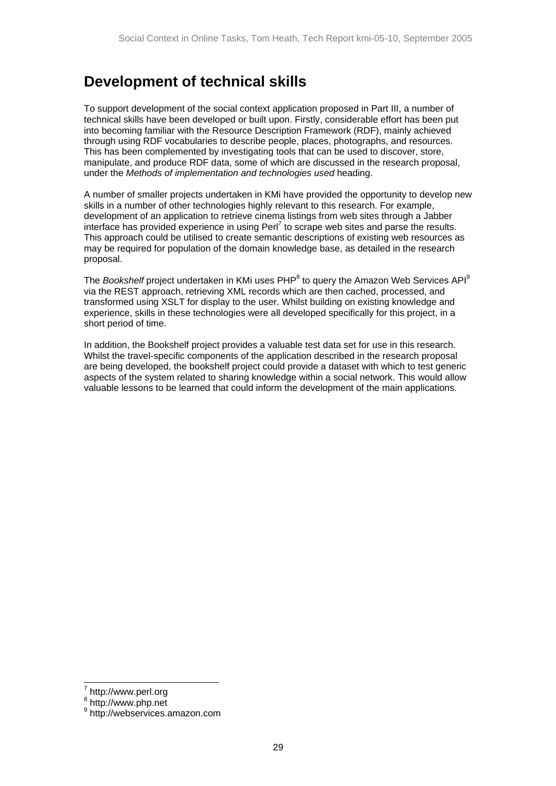# <span id="page-28-0"></span>**Development of technical skills**

To support development of the social context application proposed in Part III, a number of technical skills have been developed or built upon. Firstly, considerable effort has been put into becoming familiar with the Resource Description Framework (RDF), mainly achieved through using RDF vocabularies to describe people, places, photographs, and resources. This has been complemented by investigating tools that can be used to discover, store, manipulate, and produce RDF data, some of which are discussed in the research proposal, under the *Methods of implementation and technologies used* heading.

A number of smaller projects undertaken in KMi have provided the opportunity to develop new skills in a number of other technologies highly relevant to this research. For example, development of an application to retrieve cinema listings from web sites through a Jabber interface has provided experience in using Perl<sup>[7](#page-28-1)</sup> to scrape web sites and parse the results. This approach could be utilised to create semantic descriptions of existing web resources as may be required for population of the domain knowledge base, as detailed in the research proposal.

The *Bookshelf* project undertaken in KMi uses PHP<sup>[8](#page-28-2)</sup> to query the Amazon Web Services API<sup>[9](#page-28-3)</sup> via the REST approach, retrieving XML records which are then cached, processed, and transformed using XSLT for display to the user. Whilst building on existing knowledge and experience, skills in these technologies were all developed specifically for this project, in a short period of time.

In addition, the Bookshelf project provides a valuable test data set for use in this research. Whilst the travel-specific components of the application described in the research proposal are being developed, the bookshelf project could provide a dataset with which to test generic aspects of the system related to sharing knowledge within a social network. This would allow valuable lessons to be learned that could inform the development of the main applications.

<span id="page-28-1"></span> <sup>7</sup>  $\frac{1}{8}$  http://www.perl.org

<span id="page-28-2"></span> $8 \text{ http://www.php.net}$ 

<span id="page-28-3"></span><sup>&</sup>lt;sup>9</sup> http://webservices.amazon.com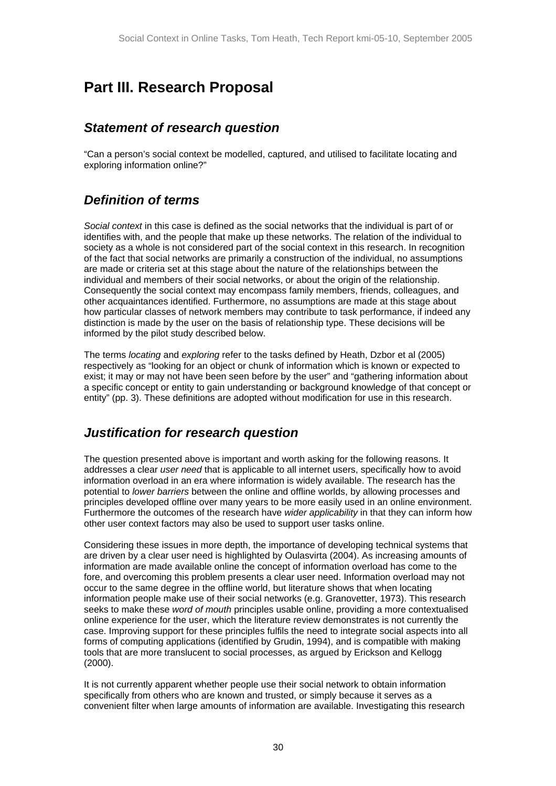# <span id="page-29-0"></span>**Part III. Research Proposal**

## *Statement of research question*

"Can a person's social context be modelled, captured, and utilised to facilitate locating and exploring information online?"

## *Definition of terms*

*Social context* in this case is defined as the social networks that the individual is part of or identifies with, and the people that make up these networks. The relation of the individual to society as a whole is not considered part of the social context in this research. In recognition of the fact that social networks are primarily a construction of the individual, no assumptions are made or criteria set at this stage about the nature of the relationships between the individual and members of their social networks, or about the origin of the relationship. Consequently the social context may encompass family members, friends, colleagues, and other acquaintances identified. Furthermore, no assumptions are made at this stage about how particular classes of network members may contribute to task performance, if indeed any distinction is made by the user on the basis of relationship type. These decisions will be informed by the pilot study described below.

The terms *locating* and *exploring* refer to the tasks defined by Heath, Dzbor et al (2005) respectively as "looking for an object or chunk of information which is known or expected to exist; it may or may not have been seen before by the user" and "gathering information about a specific concept or entity to gain understanding or background knowledge of that concept or entity" (pp. 3). These definitions are adopted without modification for use in this research.

## *Justification for research question*

The question presented above is important and worth asking for the following reasons. It addresses a clear *user need* that is applicable to all internet users, specifically how to avoid information overload in an era where information is widely available. The research has the potential to *lower barriers* between the online and offline worlds, by allowing processes and principles developed offline over many years to be more easily used in an online environment. Furthermore the outcomes of the research have *wider applicability* in that they can inform how other user context factors may also be used to support user tasks online.

Considering these issues in more depth, the importance of developing technical systems that are driven by a clear user need is highlighted by Oulasvirta (2004). As increasing amounts of information are made available online the concept of information overload has come to the fore, and overcoming this problem presents a clear user need. Information overload may not occur to the same degree in the offline world, but literature shows that when locating information people make use of their social networks (e.g. Granovetter, 1973). This research seeks to make these *word of mouth* principles usable online, providing a more contextualised online experience for the user, which the literature review demonstrates is not currently the case. Improving support for these principles fulfils the need to integrate social aspects into all forms of computing applications (identified by Grudin, 1994), and is compatible with making tools that are more translucent to social processes, as argued by Erickson and Kellogg (2000).

It is not currently apparent whether people use their social network to obtain information specifically from others who are known and trusted, or simply because it serves as a convenient filter when large amounts of information are available. Investigating this research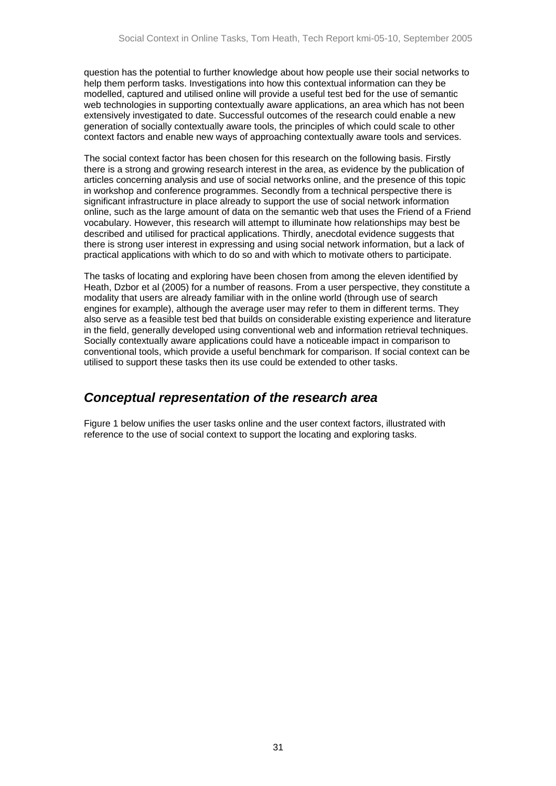<span id="page-30-0"></span>question has the potential to further knowledge about how people use their social networks to help them perform tasks. Investigations into how this contextual information can they be modelled, captured and utilised online will provide a useful test bed for the use of semantic web technologies in supporting contextually aware applications, an area which has not been extensively investigated to date. Successful outcomes of the research could enable a new generation of socially contextually aware tools, the principles of which could scale to other context factors and enable new ways of approaching contextually aware tools and services.

The social context factor has been chosen for this research on the following basis. Firstly there is a strong and growing research interest in the area, as evidence by the publication of articles concerning analysis and use of social networks online, and the presence of this topic in workshop and conference programmes. Secondly from a technical perspective there is significant infrastructure in place already to support the use of social network information online, such as the large amount of data on the semantic web that uses the Friend of a Friend vocabulary. However, this research will attempt to illuminate how relationships may best be described and utilised for practical applications. Thirdly, anecdotal evidence suggests that there is strong user interest in expressing and using social network information, but a lack of practical applications with which to do so and with which to motivate others to participate.

The tasks of locating and exploring have been chosen from among the eleven identified by Heath, Dzbor et al (2005) for a number of reasons. From a user perspective, they constitute a modality that users are already familiar with in the online world (through use of search engines for example), although the average user may refer to them in different terms. They also serve as a feasible test bed that builds on considerable existing experience and literature in the field, generally developed using conventional web and information retrieval techniques. Socially contextually aware applications could have a noticeable impact in comparison to conventional tools, which provide a useful benchmark for comparison. If social context can be utilised to support these tasks then its use could be extended to other tasks.

### *Conceptual representation of the research area*

[Figure 1](#page-31-1) below unifies the user tasks online and the user context factors, illustrated with reference to the use of social context to support the locating and exploring tasks.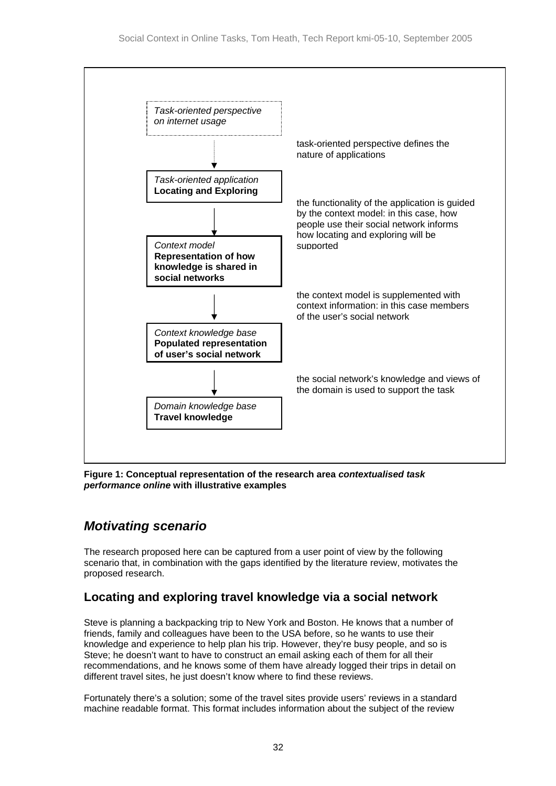<span id="page-31-0"></span>

<span id="page-31-1"></span>**Figure 1: Conceptual representation of the research area** *contextualised task performance online* **with illustrative examples** 

## *Motivating scenario*

The research proposed here can be captured from a user point of view by the following scenario that, in combination with the gaps identified by the literature review, motivates the proposed research.

## **Locating and exploring travel knowledge via a social network**

Steve is planning a backpacking trip to New York and Boston. He knows that a number of friends, family and colleagues have been to the USA before, so he wants to use their knowledge and experience to help plan his trip. However, they're busy people, and so is Steve; he doesn't want to have to construct an email asking each of them for all their recommendations, and he knows some of them have already logged their trips in detail on different travel sites, he just doesn't know where to find these reviews.

Fortunately there's a solution; some of the travel sites provide users' reviews in a standard machine readable format. This format includes information about the subject of the review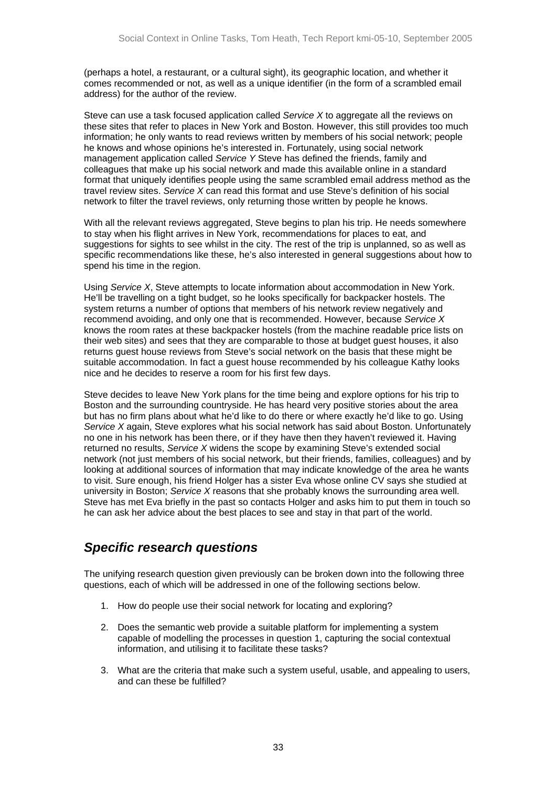<span id="page-32-0"></span>(perhaps a hotel, a restaurant, or a cultural sight), its geographic location, and whether it comes recommended or not, as well as a unique identifier (in the form of a scrambled email address) for the author of the review.

Steve can use a task focused application called *Service X* to aggregate all the reviews on these sites that refer to places in New York and Boston. However, this still provides too much information; he only wants to read reviews written by members of his social network; people he knows and whose opinions he's interested in. Fortunately, using social network management application called *Service Y* Steve has defined the friends, family and colleagues that make up his social network and made this available online in a standard format that uniquely identifies people using the same scrambled email address method as the travel review sites. *Service X* can read this format and use Steve's definition of his social network to filter the travel reviews, only returning those written by people he knows.

With all the relevant reviews aggregated, Steve begins to plan his trip. He needs somewhere to stay when his flight arrives in New York, recommendations for places to eat, and suggestions for sights to see whilst in the city. The rest of the trip is unplanned, so as well as specific recommendations like these, he's also interested in general suggestions about how to spend his time in the region.

Using *Service X*, Steve attempts to locate information about accommodation in New York. He'll be travelling on a tight budget, so he looks specifically for backpacker hostels. The system returns a number of options that members of his network review negatively and recommend avoiding, and only one that is recommended. However, because *Service X* knows the room rates at these backpacker hostels (from the machine readable price lists on their web sites) and sees that they are comparable to those at budget guest houses, it also returns guest house reviews from Steve's social network on the basis that these might be suitable accommodation. In fact a guest house recommended by his colleague Kathy looks nice and he decides to reserve a room for his first few days.

Steve decides to leave New York plans for the time being and explore options for his trip to Boston and the surrounding countryside. He has heard very positive stories about the area but has no firm plans about what he'd like to do there or where exactly he'd like to go. Using *Service X* again, Steve explores what his social network has said about Boston. Unfortunately no one in his network has been there, or if they have then they haven't reviewed it. Having returned no results, *Service X* widens the scope by examining Steve's extended social network (not just members of his social network, but their friends, families, colleagues) and by looking at additional sources of information that may indicate knowledge of the area he wants to visit. Sure enough, his friend Holger has a sister Eva whose online CV says she studied at university in Boston; *Service X* reasons that she probably knows the surrounding area well. Steve has met Eva briefly in the past so contacts Holger and asks him to put them in touch so he can ask her advice about the best places to see and stay in that part of the world.

## *Specific research questions*

The unifying research question given previously can be broken down into the following three questions, each of which will be addressed in one of the following sections below.

- 1. How do people use their social network for locating and exploring?
- 2. Does the semantic web provide a suitable platform for implementing a system capable of modelling the processes in question 1, capturing the social contextual information, and utilising it to facilitate these tasks?
- 3. What are the criteria that make such a system useful, usable, and appealing to users, and can these be fulfilled?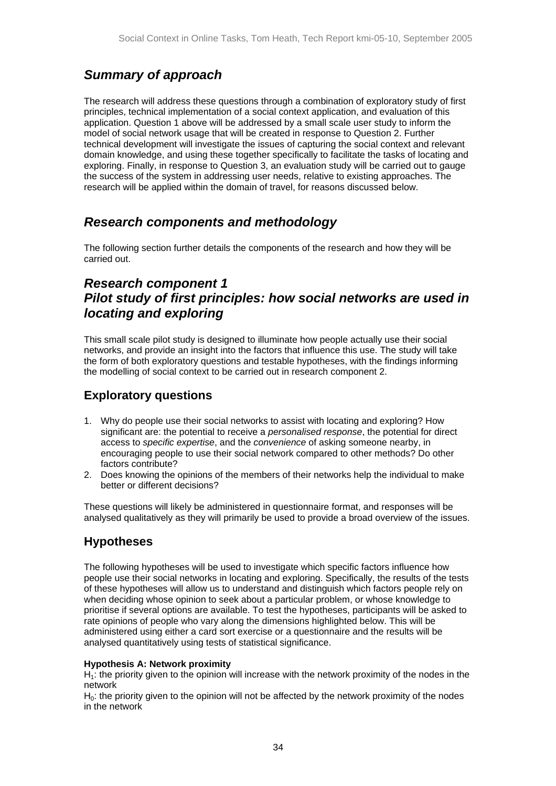## <span id="page-33-0"></span>*Summary of approach*

The research will address these questions through a combination of exploratory study of first principles, technical implementation of a social context application, and evaluation of this application. Question 1 above will be addressed by a small scale user study to inform the model of social network usage that will be created in response to Question 2. Further technical development will investigate the issues of capturing the social context and relevant domain knowledge, and using these together specifically to facilitate the tasks of locating and exploring. Finally, in response to Question 3, an evaluation study will be carried out to gauge the success of the system in addressing user needs, relative to existing approaches. The research will be applied within the domain of travel, for reasons discussed below.

## *Research components and methodology*

The following section further details the components of the research and how they will be carried out.

## *Research component 1 Pilot study of first principles: how social networks are used in locating and exploring*

This small scale pilot study is designed to illuminate how people actually use their social networks, and provide an insight into the factors that influence this use. The study will take the form of both exploratory questions and testable hypotheses, with the findings informing the modelling of social context to be carried out in research component 2.

### **Exploratory questions**

- 1. Why do people use their social networks to assist with locating and exploring? How significant are: the potential to receive a *personalised response*, the potential for direct access to *specific expertise*, and the *convenience* of asking someone nearby, in encouraging people to use their social network compared to other methods? Do other factors contribute?
- 2. Does knowing the opinions of the members of their networks help the individual to make better or different decisions?

These questions will likely be administered in questionnaire format, and responses will be analysed qualitatively as they will primarily be used to provide a broad overview of the issues.

## **Hypotheses**

The following hypotheses will be used to investigate which specific factors influence how people use their social networks in locating and exploring. Specifically, the results of the tests of these hypotheses will allow us to understand and distinguish which factors people rely on when deciding whose opinion to seek about a particular problem, or whose knowledge to prioritise if several options are available. To test the hypotheses, participants will be asked to rate opinions of people who vary along the dimensions highlighted below. This will be administered using either a card sort exercise or a questionnaire and the results will be analysed quantitatively using tests of statistical significance.

#### **Hypothesis A: Network proximity**

 $H<sub>i</sub>$ : the priority given to the opinion will increase with the network proximity of the nodes in the network

 $H<sub>0</sub>$ : the priority given to the opinion will not be affected by the network proximity of the nodes in the network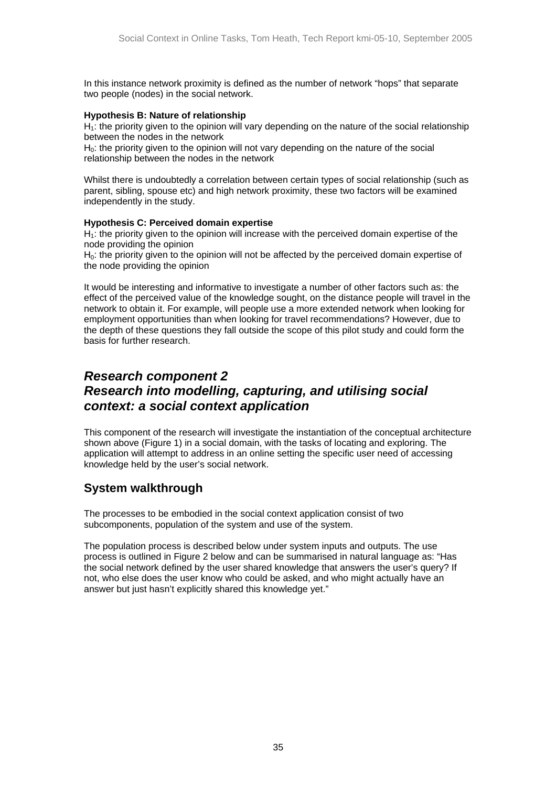<span id="page-34-0"></span>In this instance network proximity is defined as the number of network "hops" that separate two people (nodes) in the social network.

#### **Hypothesis B: Nature of relationship**

 $H_1$ : the priority given to the opinion will vary depending on the nature of the social relationship between the nodes in the network

H<sub>0</sub>: the priority given to the opinion will not vary depending on the nature of the social relationship between the nodes in the network

Whilst there is undoubtedly a correlation between certain types of social relationship (such as parent, sibling, spouse etc) and high network proximity, these two factors will be examined independently in the study.

#### **Hypothesis C: Perceived domain expertise**

 $H<sub>i</sub>$ : the priority given to the opinion will increase with the perceived domain expertise of the node providing the opinion

H<sub>0</sub>: the priority given to the opinion will not be affected by the perceived domain expertise of the node providing the opinion

It would be interesting and informative to investigate a number of other factors such as: the effect of the perceived value of the knowledge sought, on the distance people will travel in the network to obtain it. For example, will people use a more extended network when looking for employment opportunities than when looking for travel recommendations? However, due to the depth of these questions they fall outside the scope of this pilot study and could form the basis for further research.

## *Research component 2 Research into modelling, capturing, and utilising social context: a social context application*

This component of the research will investigate the instantiation of the conceptual architecture shown above ([Figure 1\)](#page-31-1) in a social domain, with the tasks of locating and exploring. The application will attempt to address in an online setting the specific user need of accessing knowledge held by the user's social network.

### **System walkthrough**

The processes to be embodied in the social context application consist of two subcomponents, population of the system and use of the system.

The population process is described below under system inputs and outputs. The use process is outlined in [Figure 2](#page-35-1) below and can be summarised in natural language as: "Has the social network defined by the user shared knowledge that answers the user's query? If not, who else does the user know who could be asked, and who might actually have an answer but just hasn't explicitly shared this knowledge yet."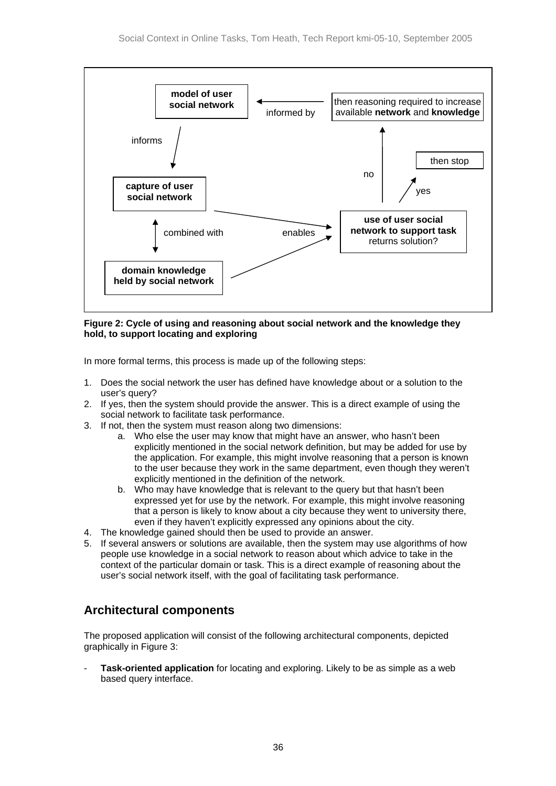<span id="page-35-0"></span>

<span id="page-35-1"></span>**Figure 2: Cycle of using and reasoning about social network and the knowledge they hold, to support locating and exploring** 

In more formal terms, this process is made up of the following steps:

- 1. Does the social network the user has defined have knowledge about or a solution to the user's query?
- 2. If yes, then the system should provide the answer. This is a direct example of using the social network to facilitate task performance.
- 3. If not, then the system must reason along two dimensions:
	- a. Who else the user may know that might have an answer, who hasn't been explicitly mentioned in the social network definition, but may be added for use by the application. For example, this might involve reasoning that a person is known to the user because they work in the same department, even though they weren't explicitly mentioned in the definition of the network.
	- b. Who may have knowledge that is relevant to the query but that hasn't been expressed yet for use by the network. For example, this might involve reasoning that a person is likely to know about a city because they went to university there, even if they haven't explicitly expressed any opinions about the city.
- 4. The knowledge gained should then be used to provide an answer.
- 5. If several answers or solutions are available, then the system may use algorithms of how people use knowledge in a social network to reason about which advice to take in the context of the particular domain or task. This is a direct example of reasoning about the user's social network itself, with the goal of facilitating task performance.

## **Architectural components**

The proposed application will consist of the following architectural components, depicted graphically in [Figure 3:](#page-36-1)

**Task-oriented application** for locating and exploring. Likely to be as simple as a web based query interface.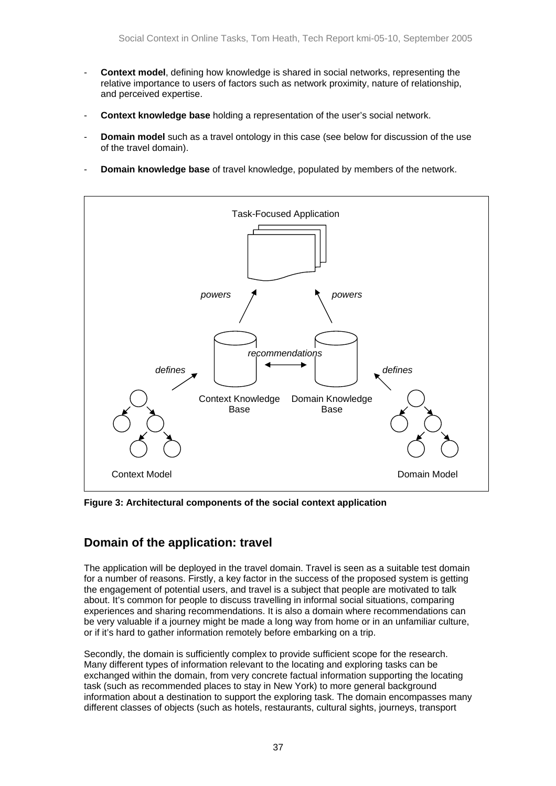- <span id="page-36-0"></span>- **Context model**, defining how knowledge is shared in social networks, representing the relative importance to users of factors such as network proximity, nature of relationship, and perceived expertise.
- **Context knowledge base** holding a representation of the user's social network.
- **Domain model** such as a travel ontology in this case (see below for discussion of the use of the travel domain).
- **Domain knowledge base** of travel knowledge, populated by members of the network.



<span id="page-36-1"></span>**Figure 3: Architectural components of the social context application** 

### **Domain of the application: travel**

The application will be deployed in the travel domain. Travel is seen as a suitable test domain for a number of reasons. Firstly, a key factor in the success of the proposed system is getting the engagement of potential users, and travel is a subject that people are motivated to talk about. It's common for people to discuss travelling in informal social situations, comparing experiences and sharing recommendations. It is also a domain where recommendations can be very valuable if a journey might be made a long way from home or in an unfamiliar culture, or if it's hard to gather information remotely before embarking on a trip.

Secondly, the domain is sufficiently complex to provide sufficient scope for the research. Many different types of information relevant to the locating and exploring tasks can be exchanged within the domain, from very concrete factual information supporting the locating task (such as recommended places to stay in New York) to more general background information about a destination to support the exploring task. The domain encompasses many different classes of objects (such as hotels, restaurants, cultural sights, journeys, transport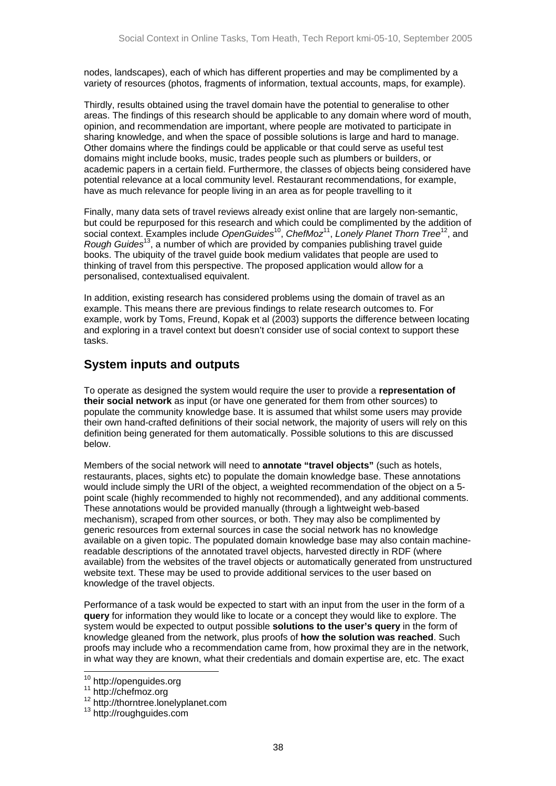<span id="page-37-0"></span>nodes, landscapes), each of which has different properties and may be complimented by a variety of resources (photos, fragments of information, textual accounts, maps, for example).

Thirdly, results obtained using the travel domain have the potential to generalise to other areas. The findings of this research should be applicable to any domain where word of mouth, opinion, and recommendation are important, where people are motivated to participate in sharing knowledge, and when the space of possible solutions is large and hard to manage. Other domains where the findings could be applicable or that could serve as useful test domains might include books, music, trades people such as plumbers or builders, or academic papers in a certain field. Furthermore, the classes of objects being considered have potential relevance at a local community level. Restaurant recommendations, for example, have as much relevance for people living in an area as for people travelling to it

Finally, many data sets of travel reviews already exist online that are largely non-semantic, but could be repurposed for this research and which could be complimented by the addition of social context. Examples include *OpenGuides*[10,](#page-37-1) *ChefMoz*[11,](#page-37-2) *Lonely Planet Thorn Tree*[12,](#page-37-3) and *Rough Guides*[13,](#page-37-4) a number of which are provided by companies publishing travel guide books. The ubiquity of the travel guide book medium validates that people are used to thinking of travel from this perspective. The proposed application would allow for a personalised, contextualised equivalent.

In addition, existing research has considered problems using the domain of travel as an example. This means there are previous findings to relate research outcomes to. For example, work by Toms, Freund, Kopak et al (2003) supports the difference between locating and exploring in a travel context but doesn't consider use of social context to support these tasks.

### **System inputs and outputs**

To operate as designed the system would require the user to provide a **representation of their social network** as input (or have one generated for them from other sources) to populate the community knowledge base. It is assumed that whilst some users may provide their own hand-crafted definitions of their social network, the majority of users will rely on this definition being generated for them automatically. Possible solutions to this are discussed below.

Members of the social network will need to **annotate "travel objects"** (such as hotels, restaurants, places, sights etc) to populate the domain knowledge base. These annotations would include simply the URI of the object, a weighted recommendation of the object on a 5 point scale (highly recommended to highly not recommended), and any additional comments. These annotations would be provided manually (through a lightweight web-based mechanism), scraped from other sources, or both. They may also be complimented by generic resources from external sources in case the social network has no knowledge available on a given topic. The populated domain knowledge base may also contain machinereadable descriptions of the annotated travel objects, harvested directly in RDF (where available) from the websites of the travel objects or automatically generated from unstructured website text. These may be used to provide additional services to the user based on knowledge of the travel objects.

Performance of a task would be expected to start with an input from the user in the form of a **query** for information they would like to locate or a concept they would like to explore. The system would be expected to output possible **solutions to the user's query** in the form of knowledge gleaned from the network, plus proofs of **how the solution was reached**. Such proofs may include who a recommendation came from, how proximal they are in the network, in what way they are known, what their credentials and domain expertise are, etc. The exact

<span id="page-37-1"></span>

<span id="page-37-3"></span><span id="page-37-2"></span>

<sup>&</sup>lt;sup>10</sup> http://openguides.org<br><sup>11</sup> http://chefmoz.org<br><sup>12</sup> http://thorntree.lonelyplanet.com

<span id="page-37-4"></span><sup>13</sup> http://roughguides.com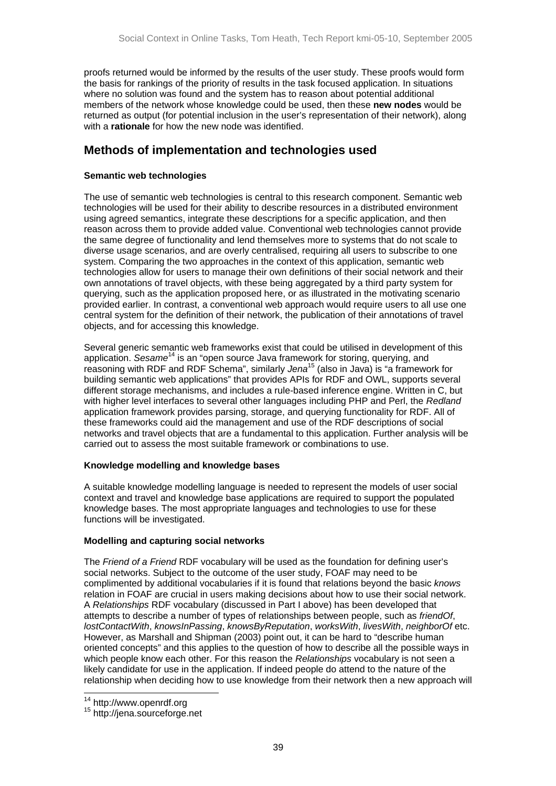<span id="page-38-0"></span>proofs returned would be informed by the results of the user study. These proofs would form the basis for rankings of the priority of results in the task focused application. In situations where no solution was found and the system has to reason about potential additional members of the network whose knowledge could be used, then these **new nodes** would be returned as output (for potential inclusion in the user's representation of their network), along with a **rationale** for how the new node was identified.

### **Methods of implementation and technologies used**

#### **Semantic web technologies**

The use of semantic web technologies is central to this research component. Semantic web technologies will be used for their ability to describe resources in a distributed environment using agreed semantics, integrate these descriptions for a specific application, and then reason across them to provide added value. Conventional web technologies cannot provide the same degree of functionality and lend themselves more to systems that do not scale to diverse usage scenarios, and are overly centralised, requiring all users to subscribe to one system. Comparing the two approaches in the context of this application, semantic web technologies allow for users to manage their own definitions of their social network and their own annotations of travel objects, with these being aggregated by a third party system for querying, such as the application proposed here, or as illustrated in the motivating scenario provided earlier. In contrast, a conventional web approach would require users to all use one central system for the definition of their network, the publication of their annotations of travel objects, and for accessing this knowledge.

Several generic semantic web frameworks exist that could be utilised in development of this application. *Sesame*[14 i](#page-38-1)s an "open source Java framework for storing, querying, and reasoning with RDF and RDF Schema", similarly *Jena*[15 \(](#page-38-2)also in Java) is "a framework for building semantic web applications" that provides APIs for RDF and OWL, supports several different storage mechanisms, and includes a rule-based inference engine. Written in C, but with higher level interfaces to several other languages including PHP and Perl, the *Redland* application framework provides parsing, storage, and querying functionality for RDF. All of these frameworks could aid the management and use of the RDF descriptions of social networks and travel objects that are a fundamental to this application. Further analysis will be carried out to assess the most suitable framework or combinations to use.

#### **Knowledge modelling and knowledge bases**

A suitable knowledge modelling language is needed to represent the models of user social context and travel and knowledge base applications are required to support the populated knowledge bases. The most appropriate languages and technologies to use for these functions will be investigated.

#### **Modelling and capturing social networks**

The *Friend of a Friend* RDF vocabulary will be used as the foundation for defining user's social networks. Subject to the outcome of the user study, FOAF may need to be complimented by additional vocabularies if it is found that relations beyond the basic *knows* relation in FOAF are crucial in users making decisions about how to use their social network. A *Relationships* RDF vocabulary (discussed in Part I above) has been developed that attempts to describe a number of types of relationships between people, such as *friendOf*, *lostContactWith*, *knowsInPassing*, *knowsByReputation*, *worksWith*, *livesWith*, *neighborOf* etc. However, as Marshall and Shipman (2003) point out, it can be hard to "describe human oriented concepts" and this applies to the question of how to describe all the possible ways in which people know each other. For this reason the *Relationships* vocabulary is not seen a likely candidate for use in the application. If indeed people do attend to the nature of the relationship when deciding how to use knowledge from their network then a new approach will

<span id="page-38-2"></span><span id="page-38-1"></span>

<sup>&</sup>lt;sup>14</sup> http://www.openrdf.org<br><sup>15</sup> http://jena.sourceforge.net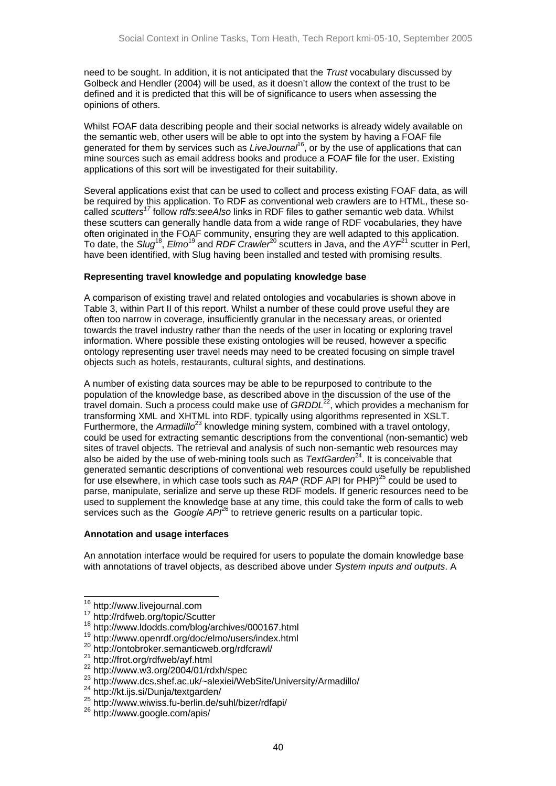need to be sought. In addition, it is not anticipated that the *Trust* vocabulary discussed by Golbeck and Hendler (2004) will be used, as it doesn't allow the context of the trust to be defined and it is predicted that this will be of significance to users when assessing the opinions of others.

Whilst FOAF data describing people and their social networks is already widely available on the semantic web, other users will be able to opt into the system by having a FOAF file generated for them by services such as *LiveJournal* [16,](#page-39-0) or by the use of applications that can mine sources such as email address books and produce a FOAF file for the user. Existing applications of this sort will be investigated for their suitability.

Several applications exist that can be used to collect and process existing FOAF data, as will be required by this application. To RDF as conventional web crawlers are to HTML, these socalled *scutters[17](#page-39-1)* follow *rdfs:seeAlso* links in RDF files to gather semantic web data. Whilst these scutters can generally handle data from a wide range of RDF vocabularies, they have often originated in the FOAF community, ensuring they are well adapted to this application. To date, the *Slug*[18,](#page-39-2) *Elmo*[19](#page-39-3) and *RDF Crawler*[20 s](#page-39-4)cutters in Java, and the *AYF*[21 s](#page-39-5)cutter in Perl, have been identified, with Slug having been installed and tested with promising results.

#### **Representing travel knowledge and populating knowledge base**

A comparison of existing travel and related ontologies and vocabularies is shown above in Table 3, within Part II of this report. Whilst a number of these could prove useful they are often too narrow in coverage, insufficiently granular in the necessary areas, or oriented towards the travel industry rather than the needs of the user in locating or exploring travel information. Where possible these existing ontologies will be reused, however a specific ontology representing user travel needs may need to be created focusing on simple travel objects such as hotels, restaurants, cultural sights, and destinations.

A number of existing data sources may be able to be repurposed to contribute to the population of the knowledge base, as described above in the discussion of the use of the travel domain. Such a process could make use of *GRDDL*<sup>22</sup>, which provides a mechanism for transforming XML and XHTML into RDF, typically using algorithms represented in XSLT. Furthermore, the *Armadillo*<sup>23</sup> knowledge mining system, combined with a travel ontology, could be used for extracting semantic descriptions from the conventional (non-semantic) web sites of travel objects. The retrieval and analysis of such non-semantic web resources may also be aided by the use of web-mining tools such as *TextGarden*[24.](#page-39-8) It is conceivable that generated semantic descriptions of conventional web resources could usefully be republished for use elsewhere, in which case tools such as *RAP* (RDF API for PHP)<sup>25</sup> could be used to parse, manipulate, serialize and serve up these RDF models. If generic resources need to be used to supplement the knowledge base at any time, this could take the form of calls to web services such as the *Google API*<sup>26</sup> to retrieve generic results on a particular topic.

#### **Annotation and usage interfaces**

An annotation interface would be required for users to populate the domain knowledge base with annotations of travel objects, as described above under *System inputs and outputs*. A

<span id="page-39-0"></span> <sup>16</sup> http://www.livejournal.com

<span id="page-39-1"></span><sup>17</sup> http://rdfweb.org/topic/Scutter

<span id="page-39-2"></span><sup>18</sup> http://www.ldodds.com/blog/archives/000167.html

<span id="page-39-3"></span><sup>19</sup> http://www.openrdf.org/doc/elmo/users/index.html

<span id="page-39-4"></span><sup>20</sup> http://ontobroker.semanticweb.org/rdfcrawl/

<span id="page-39-5"></span><sup>21</sup> http://frot.org/rdfweb/ayf.html

<span id="page-39-6"></span><sup>22</sup> http://www.w3.org/2004/01/rdxh/spec

<span id="page-39-7"></span><sup>&</sup>lt;sup>23</sup> http://www.dcs.shef.ac.uk/~alexiei/WebSite/University/Armadillo/<br><sup>24</sup> http://kt.ijs.si/Dunja/textgarden/<br><sup>25</sup> http://www.wiwiss.fu-berlin.de/suhl/bizer/rdfapi/<br><sup>26</sup> http://www.google.com/apis/

<span id="page-39-8"></span>

<span id="page-39-9"></span>

<span id="page-39-10"></span>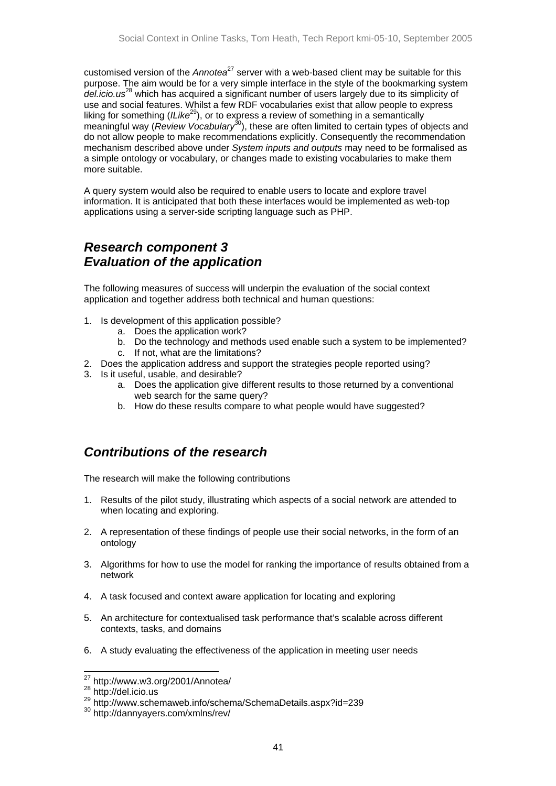<span id="page-40-0"></span>customised version of the *Annotea*[27](#page-40-1) server with a web-based client may be suitable for this purpose. The aim would be for a very simple interface in the style of the bookmarking system *del.icio.us*[28](#page-40-2) which has acquired a significant number of users largely due to its simplicity of use and social features. Whilst a few RDF vocabularies exist that allow people to express liking for something (*ILike*[29\)](#page-40-3), or to express a review of something in a semantically meaningful way (*Review Vocabulary* [30\)](#page-40-4), these are often limited to certain types of objects and do not allow people to make recommendations explicitly. Consequently the recommendation mechanism described above under *System inputs and outputs* may need to be formalised as a simple ontology or vocabulary, or changes made to existing vocabularies to make them more suitable.

A query system would also be required to enable users to locate and explore travel information. It is anticipated that both these interfaces would be implemented as web-top applications using a server-side scripting language such as PHP.

## *Research component 3 Evaluation of the application*

The following measures of success will underpin the evaluation of the social context application and together address both technical and human questions:

- 1. Is development of this application possible?
	- a. Does the application work?
	- b. Do the technology and methods used enable such a system to be implemented?
	- c. If not, what are the limitations?
- 2. Does the application address and support the strategies people reported using?
- 3. Is it useful, usable, and desirable?
	- a. Does the application give different results to those returned by a conventional web search for the same query?
	- b. How do these results compare to what people would have suggested?

## *Contributions of the research*

The research will make the following contributions

- 1. Results of the pilot study, illustrating which aspects of a social network are attended to when locating and exploring.
- 2. A representation of these findings of people use their social networks, in the form of an ontology
- 3. Algorithms for how to use the model for ranking the importance of results obtained from a network
- 4. A task focused and context aware application for locating and exploring
- 5. An architecture for contextualised task performance that's scalable across different contexts, tasks, and domains
- 6. A study evaluating the effectiveness of the application in meeting user needs

<span id="page-40-1"></span> <sup>27</sup> http://www.w3.org/2001/Annotea/

<span id="page-40-2"></span><sup>28</sup> http://del.icio.us

<span id="page-40-3"></span><sup>29</sup> http://www.schemaweb.info/schema/SchemaDetails.aspx?id=239

<span id="page-40-4"></span><sup>30</sup> http://dannyayers.com/xmlns/rev/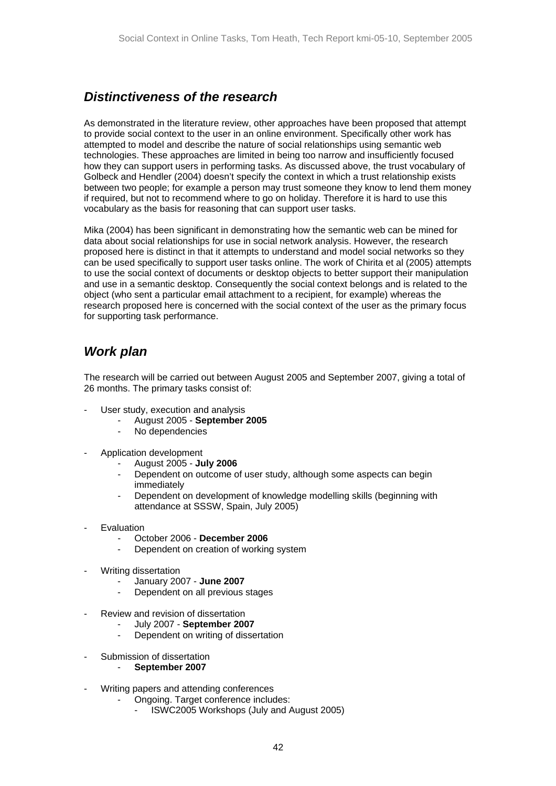## <span id="page-41-0"></span>*Distinctiveness of the research*

As demonstrated in the literature review, other approaches have been proposed that attempt to provide social context to the user in an online environment. Specifically other work has attempted to model and describe the nature of social relationships using semantic web technologies. These approaches are limited in being too narrow and insufficiently focused how they can support users in performing tasks. As discussed above, the trust vocabulary of Golbeck and Hendler (2004) doesn't specify the context in which a trust relationship exists between two people; for example a person may trust someone they know to lend them money if required, but not to recommend where to go on holiday. Therefore it is hard to use this vocabulary as the basis for reasoning that can support user tasks.

Mika (2004) has been significant in demonstrating how the semantic web can be mined for data about social relationships for use in social network analysis. However, the research proposed here is distinct in that it attempts to understand and model social networks so they can be used specifically to support user tasks online. The work of Chirita et al (2005) attempts to use the social context of documents or desktop objects to better support their manipulation and use in a semantic desktop. Consequently the social context belongs and is related to the object (who sent a particular email attachment to a recipient, for example) whereas the research proposed here is concerned with the social context of the user as the primary focus for supporting task performance.

## *Work plan*

The research will be carried out between August 2005 and September 2007, giving a total of 26 months. The primary tasks consist of:

- User study, execution and analysis
	- August 2005 **September 2005**
	- No dependencies
- Application development
	- August 2005 **July 2006**
	- Dependent on outcome of user study, although some aspects can begin immediately
	- Dependent on development of knowledge modelling skills (beginning with attendance at SSSW, Spain, July 2005)
- Evaluation
	- October 2006 **December 2006**
	- Dependent on creation of working system
- Writing dissertation
	- January 2007 **June 2007**
	- Dependent on all previous stages
- Review and revision of dissertation
	- July 2007 **September 2007**
	- Dependent on writing of dissertation
- Submission of dissertation
	- **September 2007**
- Writing papers and attending conferences
	- Ongoing. Target conference includes:
		- ISWC2005 Workshops (July and August 2005)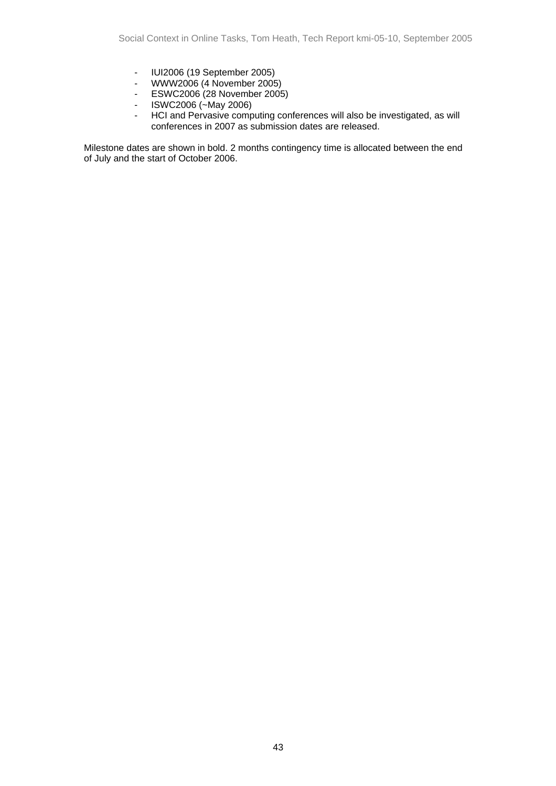- IUI2006 (19 September 2005)
- WWW2006 (4 November 2005)
- ESWC2006 (28 November 2005)
- ISWC2006 (~May 2006)
- HCI and Pervasive computing conferences will also be investigated, as will conferences in 2007 as submission dates are released.

Milestone dates are shown in bold. 2 months contingency time is allocated between the end of July and the start of October 2006.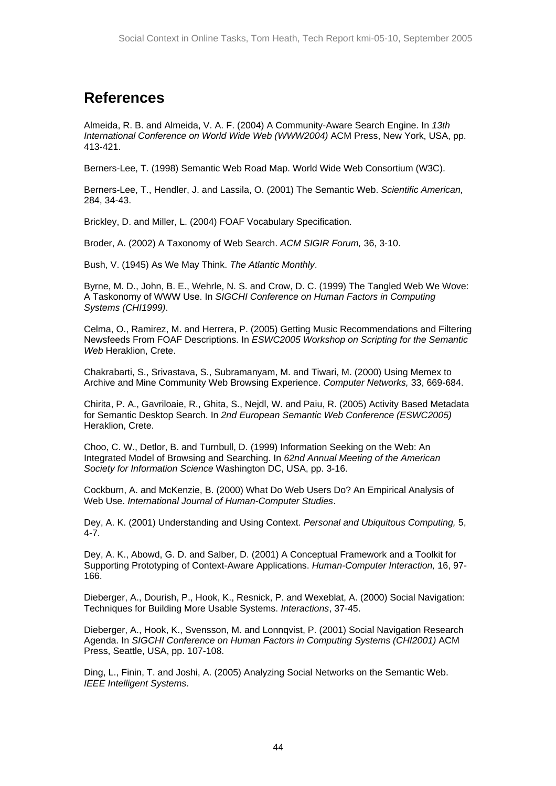# **References**

Almeida, R. B. and Almeida, V. A. F. (2004) A Community-Aware Search Engine. In *13th International Conference on World Wide Web (WWW2004)* ACM Press, New York, USA, pp. 413-421.

Berners-Lee, T. (1998) Semantic Web Road Map. World Wide Web Consortium (W3C).

Berners-Lee, T., Hendler, J. and Lassila, O. (2001) The Semantic Web. *Scientific American,* 284, 34-43.

Brickley, D. and Miller, L. (2004) FOAF Vocabulary Specification.

Broder, A. (2002) A Taxonomy of Web Search. *ACM SIGIR Forum,* 36, 3-10.

Bush, V. (1945) As We May Think. *The Atlantic Monthly*.

Byrne, M. D., John, B. E., Wehrle, N. S. and Crow, D. C. (1999) The Tangled Web We Wove: A Taskonomy of WWW Use. In *SIGCHI Conference on Human Factors in Computing Systems (CHI1999)*.

Celma, O., Ramirez, M. and Herrera, P. (2005) Getting Music Recommendations and Filtering Newsfeeds From FOAF Descriptions. In *ESWC2005 Workshop on Scripting for the Semantic Web* Heraklion, Crete.

Chakrabarti, S., Srivastava, S., Subramanyam, M. and Tiwari, M. (2000) Using Memex to Archive and Mine Community Web Browsing Experience. *Computer Networks,* 33, 669-684.

Chirita, P. A., Gavriloaie, R., Ghita, S., Nejdl, W. and Paiu, R. (2005) Activity Based Metadata for Semantic Desktop Search. In *2nd European Semantic Web Conference (ESWC2005)* Heraklion, Crete.

Choo, C. W., Detlor, B. and Turnbull, D. (1999) Information Seeking on the Web: An Integrated Model of Browsing and Searching. In *62nd Annual Meeting of the American Society for Information Science* Washington DC, USA, pp. 3-16.

Cockburn, A. and McKenzie, B. (2000) What Do Web Users Do? An Empirical Analysis of Web Use. *International Journal of Human-Computer Studies*.

Dey, A. K. (2001) Understanding and Using Context. *Personal and Ubiquitous Computing,* 5,  $4-7$ .

Dey, A. K., Abowd, G. D. and Salber, D. (2001) A Conceptual Framework and a Toolkit for Supporting Prototyping of Context-Aware Applications. *Human-Computer Interaction,* 16, 97- 166.

Dieberger, A., Dourish, P., Hook, K., Resnick, P. and Wexeblat, A. (2000) Social Navigation: Techniques for Building More Usable Systems. *Interactions*, 37-45.

Dieberger, A., Hook, K., Svensson, M. and Lonnqvist, P. (2001) Social Navigation Research Agenda. In *SIGCHI Conference on Human Factors in Computing Systems (CHI2001)* ACM Press, Seattle, USA, pp. 107-108.

Ding, L., Finin, T. and Joshi, A. (2005) Analyzing Social Networks on the Semantic Web. *IEEE Intelligent Systems*.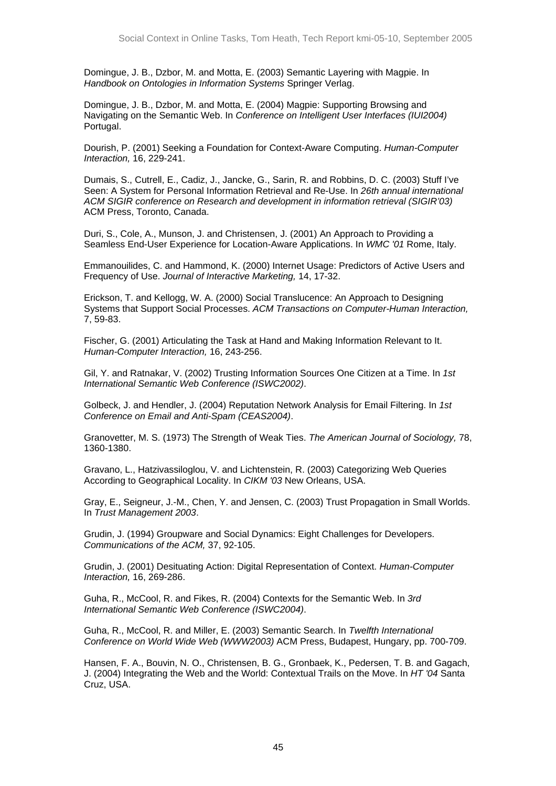Domingue, J. B., Dzbor, M. and Motta, E. (2003) Semantic Layering with Magpie. In *Handbook on Ontologies in Information Systems* Springer Verlag.

Domingue, J. B., Dzbor, M. and Motta, E. (2004) Magpie: Supporting Browsing and Navigating on the Semantic Web. In *Conference on Intelligent User Interfaces (IUI2004)* Portugal.

Dourish, P. (2001) Seeking a Foundation for Context-Aware Computing. *Human-Computer Interaction,* 16, 229-241.

Dumais, S., Cutrell, E., Cadiz, J., Jancke, G., Sarin, R. and Robbins, D. C. (2003) Stuff I've Seen: A System for Personal Information Retrieval and Re-Use. In *26th annual international ACM SIGIR conference on Research and development in information retrieval (SIGIR'03)* ACM Press, Toronto, Canada.

Duri, S., Cole, A., Munson, J. and Christensen, J. (2001) An Approach to Providing a Seamless End-User Experience for Location-Aware Applications. In *WMC '01* Rome, Italy.

Emmanouilides, C. and Hammond, K. (2000) Internet Usage: Predictors of Active Users and Frequency of Use. *Journal of Interactive Marketing,* 14, 17-32.

Erickson, T. and Kellogg, W. A. (2000) Social Translucence: An Approach to Designing Systems that Support Social Processes. *ACM Transactions on Computer-Human Interaction,* 7, 59-83.

Fischer, G. (2001) Articulating the Task at Hand and Making Information Relevant to It. *Human-Computer Interaction,* 16, 243-256.

Gil, Y. and Ratnakar, V. (2002) Trusting Information Sources One Citizen at a Time. In *1st International Semantic Web Conference (ISWC2002)*.

Golbeck, J. and Hendler, J. (2004) Reputation Network Analysis for Email Filtering. In *1st Conference on Email and Anti-Spam (CEAS2004)*.

Granovetter, M. S. (1973) The Strength of Weak Ties. *The American Journal of Sociology,* 78, 1360-1380.

Gravano, L., Hatzivassiloglou, V. and Lichtenstein, R. (2003) Categorizing Web Queries According to Geographical Locality. In *CIKM '03* New Orleans, USA.

Gray, E., Seigneur, J.-M., Chen, Y. and Jensen, C. (2003) Trust Propagation in Small Worlds. In *Trust Management 2003*.

Grudin, J. (1994) Groupware and Social Dynamics: Eight Challenges for Developers. *Communications of the ACM,* 37, 92-105.

Grudin, J. (2001) Desituating Action: Digital Representation of Context. *Human-Computer Interaction,* 16, 269-286.

Guha, R., McCool, R. and Fikes, R. (2004) Contexts for the Semantic Web. In *3rd International Semantic Web Conference (ISWC2004)*.

Guha, R., McCool, R. and Miller, E. (2003) Semantic Search. In *Twelfth International Conference on World Wide Web (WWW2003)* ACM Press, Budapest, Hungary, pp. 700-709.

Hansen, F. A., Bouvin, N. O., Christensen, B. G., Gronbaek, K., Pedersen, T. B. and Gagach, J. (2004) Integrating the Web and the World: Contextual Trails on the Move. In *HT '04* Santa Cruz, USA.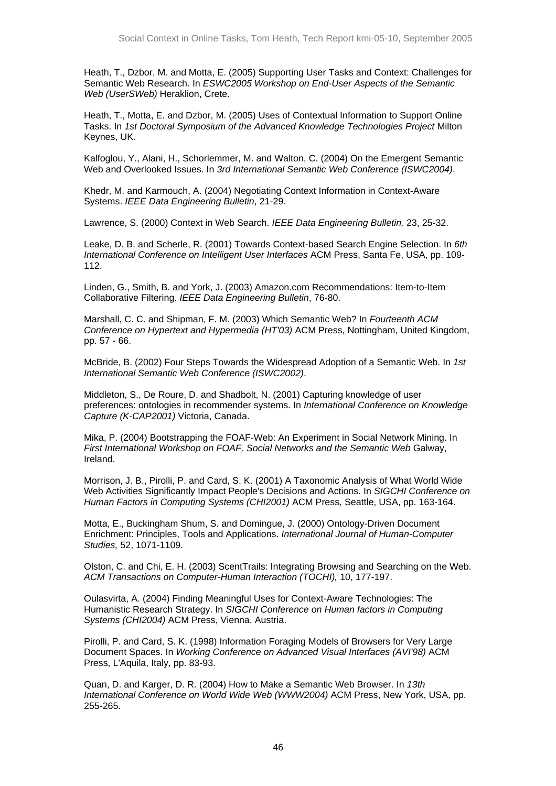Heath, T., Dzbor, M. and Motta, E. (2005) Supporting User Tasks and Context: Challenges for Semantic Web Research. In *ESWC2005 Workshop on End-User Aspects of the Semantic Web (UserSWeb)* Heraklion, Crete.

Heath, T., Motta, E. and Dzbor, M. (2005) Uses of Contextual Information to Support Online Tasks. In *1st Doctoral Symposium of the Advanced Knowledge Technologies Project* Milton Keynes, UK.

Kalfoglou, Y., Alani, H., Schorlemmer, M. and Walton, C. (2004) On the Emergent Semantic Web and Overlooked Issues. In *3rd International Semantic Web Conference (ISWC2004)*.

Khedr, M. and Karmouch, A. (2004) Negotiating Context Information in Context-Aware Systems. *IEEE Data Engineering Bulletin*, 21-29.

Lawrence, S. (2000) Context in Web Search. *IEEE Data Engineering Bulletin,* 23, 25-32.

Leake, D. B. and Scherle, R. (2001) Towards Context-based Search Engine Selection. In *6th International Conference on Intelligent User Interfaces* ACM Press, Santa Fe, USA, pp. 109- 112.

Linden, G., Smith, B. and York, J. (2003) Amazon.com Recommendations: Item-to-Item Collaborative Filtering. *IEEE Data Engineering Bulletin*, 76-80.

Marshall, C. C. and Shipman, F. M. (2003) Which Semantic Web? In *Fourteenth ACM Conference on Hypertext and Hypermedia (HT'03)* ACM Press, Nottingham, United Kingdom, pp. 57 - 66.

McBride, B. (2002) Four Steps Towards the Widespread Adoption of a Semantic Web. In *1st International Semantic Web Conference (ISWC2002)*.

Middleton, S., De Roure, D. and Shadbolt, N. (2001) Capturing knowledge of user preferences: ontologies in recommender systems. In *International Conference on Knowledge Capture (K-CAP2001)* Victoria, Canada.

Mika, P. (2004) Bootstrapping the FOAF-Web: An Experiment in Social Network Mining. In *First International Workshop on FOAF, Social Networks and the Semantic Web* Galway, Ireland.

Morrison, J. B., Pirolli, P. and Card, S. K. (2001) A Taxonomic Analysis of What World Wide Web Activities Significantly Impact People's Decisions and Actions. In *SIGCHI Conference on Human Factors in Computing Systems (CHI2001)* ACM Press, Seattle, USA, pp. 163-164.

Motta, E., Buckingham Shum, S. and Domingue, J. (2000) Ontology-Driven Document Enrichment: Principles, Tools and Applications. *International Journal of Human-Computer Studies,* 52, 1071-1109.

Olston, C. and Chi, E. H. (2003) ScentTrails: Integrating Browsing and Searching on the Web. *ACM Transactions on Computer-Human Interaction (TOCHI),* 10, 177-197.

Oulasvirta, A. (2004) Finding Meaningful Uses for Context-Aware Technologies: The Humanistic Research Strategy. In *SIGCHI Conference on Human factors in Computing Systems (CHI2004)* ACM Press, Vienna, Austria.

Pirolli, P. and Card, S. K. (1998) Information Foraging Models of Browsers for Very Large Document Spaces. In *Working Conference on Advanced Visual Interfaces (AVI'98)* ACM Press, L'Aquila, Italy, pp. 83-93.

Quan, D. and Karger, D. R. (2004) How to Make a Semantic Web Browser. In *13th International Conference on World Wide Web (WWW2004)* ACM Press, New York, USA, pp. 255-265.